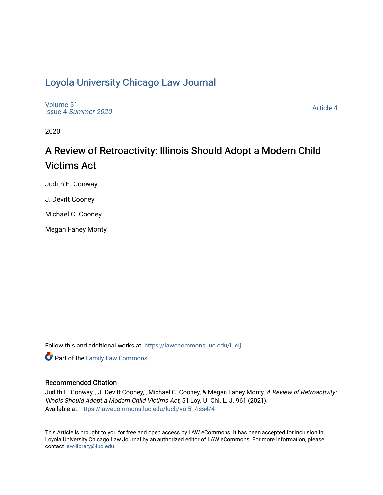# [Loyola University Chicago Law Journal](https://lawecommons.luc.edu/luclj)

[Volume 51](https://lawecommons.luc.edu/luclj/vol51) Issue 4 [Summer 2020](https://lawecommons.luc.edu/luclj/vol51/iss4) 

[Article 4](https://lawecommons.luc.edu/luclj/vol51/iss4/4) 

2020

# A Review of Retroactivity: Illinois Should Adopt a Modern Child Victims Act

Judith E. Conway

J. Devitt Cooney

Michael C. Cooney

Megan Fahey Monty

Follow this and additional works at: [https://lawecommons.luc.edu/luclj](https://lawecommons.luc.edu/luclj?utm_source=lawecommons.luc.edu%2Fluclj%2Fvol51%2Fiss4%2F4&utm_medium=PDF&utm_campaign=PDFCoverPages) 

Part of the [Family Law Commons](http://network.bepress.com/hgg/discipline/602?utm_source=lawecommons.luc.edu%2Fluclj%2Fvol51%2Fiss4%2F4&utm_medium=PDF&utm_campaign=PDFCoverPages) 

# Recommended Citation

Judith E. Conway, , J. Devitt Cooney, , Michael C. Cooney, & Megan Fahey Monty, A Review of Retroactivity: Illinois Should Adopt a Modern Child Victims Act, 51 Loy. U. Chi. L. J. 961 (2021). Available at: [https://lawecommons.luc.edu/luclj/vol51/iss4/4](https://lawecommons.luc.edu/luclj/vol51/iss4/4?utm_source=lawecommons.luc.edu%2Fluclj%2Fvol51%2Fiss4%2F4&utm_medium=PDF&utm_campaign=PDFCoverPages) 

This Article is brought to you for free and open access by LAW eCommons. It has been accepted for inclusion in Loyola University Chicago Law Journal by an authorized editor of LAW eCommons. For more information, please contact [law-library@luc.edu.](mailto:law-library@luc.edu)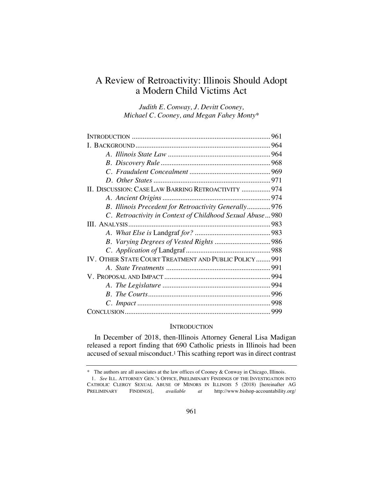# A Review of Retroactivity: Illinois Should Adopt a Modern Child Victims Act

*Judith E. Conway, J. Devitt Cooney, Michael C. Cooney, and Megan Fahey Monty\**

| II. DISCUSSION: CASE LAW BARRING RETROACTIVITY  974       |  |
|-----------------------------------------------------------|--|
|                                                           |  |
| B. Illinois Precedent for Retroactivity Generally 976     |  |
| C. Retroactivity in Context of Childhood Sexual Abuse 980 |  |
|                                                           |  |
|                                                           |  |
|                                                           |  |
|                                                           |  |
| IV. OTHER STATE COURT TREATMENT AND PUBLIC POLICY 991     |  |
|                                                           |  |
|                                                           |  |
|                                                           |  |
|                                                           |  |
|                                                           |  |
|                                                           |  |

# **INTRODUCTION**

In December of 2018, then-Illinois Attorney General Lisa Madigan released a report finding that 690 Catholic priests in Illinois had been accused of sexual misconduct.1 This scathing report was in direct contrast

<sup>\*</sup> The authors are all associates at the law offices of Cooney & Conway in Chicago, Illinois.

<sup>1.</sup> *See* ILL. ATTORNEY GEN.'S OFFICE, PRELIMINARY FINDINGS OF THE INVESTIGATION INTO CATHOLIC CLERGY SEXUAL ABUSE OF MINORS IN ILLINOIS 5 (2018) [hereinafter AG PRELIMINARY FINDINGS], *available at* http://www.bishop-accountability.org/ http://www.bishop-accountability.org/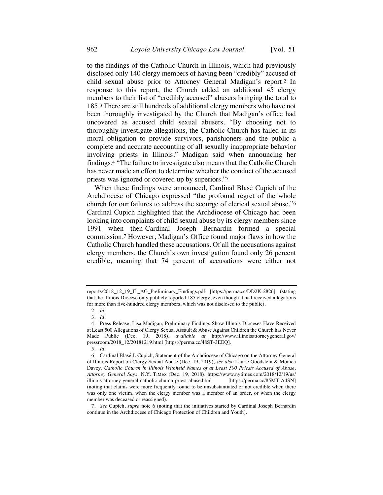to the findings of the Catholic Church in Illinois, which had previously disclosed only 140 clergy members of having been "credibly" accused of child sexual abuse prior to Attorney General Madigan's report.2 In response to this report, the Church added an additional 45 clergy members to their list of "credibly accused" abusers bringing the total to 185.3 There are still hundreds of additional clergy members who have not been thoroughly investigated by the Church that Madigan's office had uncovered as accused child sexual abusers. "By choosing not to thoroughly investigate allegations, the Catholic Church has failed in its moral obligation to provide survivors, parishioners and the public a complete and accurate accounting of all sexually inappropriate behavior involving priests in Illinois," Madigan said when announcing her findings.4 "The failure to investigate also means that the Catholic Church has never made an effort to determine whether the conduct of the accused priests was ignored or covered up by superiors."5

When these findings were announced, Cardinal Blasé Cupich of the Archdiocese of Chicago expressed "the profound regret of the whole church for our failures to address the scourge of clerical sexual abuse."6 Cardinal Cupich highlighted that the Archdiocese of Chicago had been looking into complaints of child sexual abuse by its clergy members since 1991 when then-Cardinal Joseph Bernardin formed a special commission.7 However, Madigan's Office found major flaws in how the Catholic Church handled these accusations. Of all the accusations against clergy members, the Church's own investigation found only 26 percent credible, meaning that 74 percent of accusations were either not

7. *See* Cupich, *supra* note 6 (noting that the initiatives started by Cardinal Joseph Bernardin continue in the Archdiocese of Chicago Protection of Children and Youth).

reports/2018\_12\_19\_IL\_AG\_Preliminary\_Findings.pdf [https://perma.cc/DD2K-2826] (stating that the Illinois Diocese only publicly reported 185 clergy, even though it had received allegations for more than five-hundred clergy members, which was not disclosed to the public).

<sup>2.</sup> *Id.*

<sup>3.</sup> *Id.*

<sup>4.</sup> Press Release, Lisa Madigan, Preliminary Findings Show Illinois Dioceses Have Received at Least 500 Allegations of Clergy Sexual Assault & Abuse Against Children the Church has Never Made Public (Dec. 19, 2018), *available at* http://www.illinoisattorneygeneral.gov/ pressroom/2018\_12/20181219.html [https://perma.cc/48ST-3EEQ].

<sup>5.</sup> *Id.*

<sup>6.</sup> Cardinal Blasé J. Cupich, Statement of the Archdiocese of Chicago on the Attorney General of Illinois Report on Clergy Sexual Abuse (Dec. 19, 2019); *see also* Laurie Goodstein & Monica Davey, *Catholic Church in Illinois Withheld Names of at Least 500 Priests Accused of Abuse, Attorney General Says*, N.Y. TIMES (Dec. 19, 2018), https://www.nytimes.com/2018/12/19/us/ illinois-attorney-general-catholic-church-priest-abuse.html (noting that claims were more frequently found to be unsubstantiated or not credible when there was only one victim, when the clergy member was a member of an order, or when the clergy member was deceased or reassigned).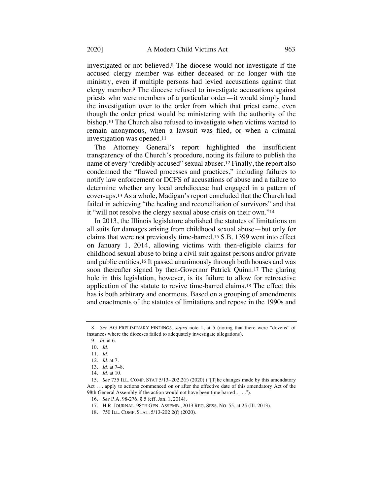investigated or not believed.8 The diocese would not investigate if the accused clergy member was either deceased or no longer with the ministry, even if multiple persons had levied accusations against that clergy member.9 The diocese refused to investigate accusations against priests who were members of a particular order—it would simply hand the investigation over to the order from which that priest came, even though the order priest would be ministering with the authority of the bishop.10 The Church also refused to investigate when victims wanted to remain anonymous, when a lawsuit was filed, or when a criminal investigation was opened.11

The Attorney General's report highlighted the insufficient transparency of the Church's procedure, noting its failure to publish the name of every "credibly accused" sexual abuser.12 Finally, the report also condemned the "flawed processes and practices," including failures to notify law enforcement or DCFS of accusations of abuse and a failure to determine whether any local archdiocese had engaged in a pattern of cover-ups.13 As a whole, Madigan's report concluded that the Church had failed in achieving "the healing and reconciliation of survivors" and that it "will not resolve the clergy sexual abuse crisis on their own."14

In 2013, the Illinois legislature abolished the statutes of limitations on all suits for damages arising from childhood sexual abuse—but only for claims that were not previously time-barred.15 S.B. 1399 went into effect on January 1, 2014, allowing victims with then-eligible claims for childhood sexual abuse to bring a civil suit against persons and/or private and public entities.16 It passed unanimously through both houses and was soon thereafter signed by then-Governor Patrick Quinn.17 The glaring hole in this legislation, however, is its failure to allow for retroactive application of the statute to revive time-barred claims.18 The effect this has is both arbitrary and enormous. Based on a grouping of amendments and enactments of the statutes of limitations and repose in the 1990s and

18. 750 ILL. COMP. STAT. 5/13-202.2(f) (2020).

<sup>8.</sup> *See* AG PRELIMINARY FINDINGS, *supra* note 1, at 5 (noting that there were "dozens" of instances where the dioceses failed to adequately investigate allegations).

<sup>9.</sup> *Id.* at 6.

<sup>10.</sup> *Id.*

<sup>11.</sup> *Id.*

<sup>12.</sup> *Id.* at 7.

<sup>13.</sup> *Id.* at 7–8.

<sup>14.</sup> *Id.* at 10.

<sup>15.</sup> *See* 735 ILL. COMP. STAT 5/13−202.2(f) (2020) ("[T]he changes made by this amendatory Act . . . apply to actions commenced on or after the effective date of this amendatory Act of the 98th General Assembly if the action would not have been time barred . . . .").

<sup>16.</sup> *See* P.A. 98-276, § 5 (eff. Jan. 1, 2014).

<sup>17.</sup> H.R. JOURNAL, 98TH GEN. ASSEMB., 2013 REG. SESS. NO. 55, at 25 (Ill. 2013).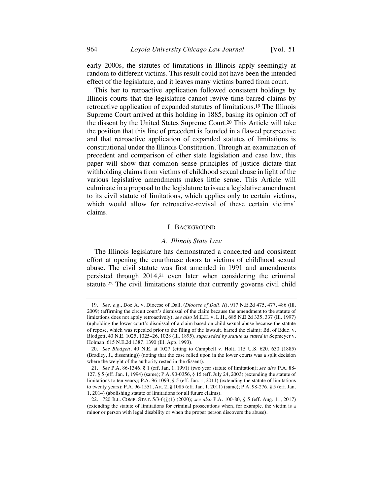early 2000s, the statutes of limitations in Illinois apply seemingly at random to different victims. This result could not have been the intended effect of the legislature, and it leaves many victims barred from court.

This bar to retroactive application followed consistent holdings by Illinois courts that the legislature cannot revive time-barred claims by retroactive application of expanded statutes of limitations.19 The Illinois Supreme Court arrived at this holding in 1885, basing its opinion off of the dissent by the United States Supreme Court.20 This Article will take the position that this line of precedent is founded in a flawed perspective and that retroactive application of expanded statutes of limitations is constitutional under the Illinois Constitution. Through an examination of precedent and comparison of other state legislation and case law, this paper will show that common sense principles of justice dictate that withholding claims from victims of childhood sexual abuse in light of the various legislative amendments makes little sense. This Article will culminate in a proposal to the legislature to issue a legislative amendment to its civil statute of limitations, which applies only to certain victims, which would allow for retroactive-revival of these certain victims' claims.

#### I. BACKGROUND

#### *A. Illinois State Law*

The Illinois legislature has demonstrated a concerted and consistent effort at opening the courthouse doors to victims of childhood sexual abuse. The civil statute was first amended in 1991 and amendments persisted through 2014,21 even later when considering the criminal statute.22 The civil limitations statute that currently governs civil child

<sup>19.</sup> *See, e.g.*, Doe A. v. Diocese of Dall. (*Diocese of Dall. II*), 917 N.E.2d 475, 477, 486 (Ill. 2009) (affirming the circuit court's dismissal of the claim because the amendment to the statute of limitations does not apply retroactively); *see also* M.E.H. v. L.H., 685 N.E.2d 335, 337 (Ill. 1997) (upholding the lower court's dismissal of a claim based on child sexual abuse because the statute of repose, which was repealed prior to the filing of the lawsuit, barred the claim); Bd. of Educ. v. Blodgett, 40 N.E. 1025, 1025–26, 1028 (Ill. 1895), *superseded by statute as stated in* Sepmeyer v. Holman, 615 N.E.2d 1387, 1390 (Ill. App. 1993).

<sup>20.</sup> *See Blodgett*, 40 N.E. at 1027 (citing to Campbell v. Holt, 115 U.S. 620, 630 (1885) (Bradley, J., dissenting)) (noting that the case relied upon in the lower courts was a split decision where the weight of the authority rested in the dissent).

<sup>21.</sup> *See* P.A. 86-1346, § 1 (eff. Jan. 1, 1991) (two year statute of limitation); *see also* P.A. 88- 127, § 5 (eff. Jan. 1, 1994) (same); P.A. 93-0356, § 15 (eff. July 24, 2003) (extending the statute of limitations to ten years); P.A. 96-1093, § 5 (eff. Jan. 1, 2011) (extending the statute of limitations to twenty years); P.A. 96-1551, Art. 2, § 1085 (eff. Jan. 1, 2011) (same); P.A. 98-276, § 5 (eff. Jan. 1, 2014) (abolishing statute of limitations for all future claims).

<sup>22.</sup> 720 ILL. COMP. STAT. 5/3-6(j)(1) (2020); *see also* P.A. 100-80, § 5 (eff. Aug. 11, 2017) (extending the statute of limitations for criminal prosecutions when, for example, the victim is a minor or person with legal disability or when the proper person discovers the abuse).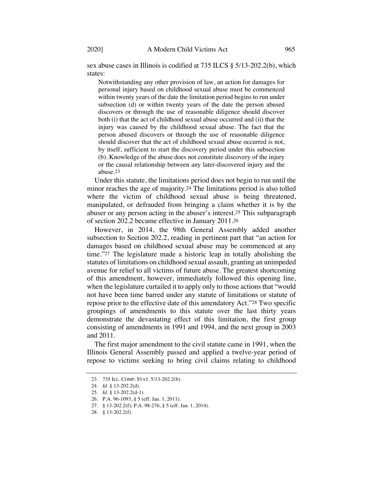sex abuse cases in Illinois is codified at 735 ILCS § 5/13-202.2(b), which states:

Notwithstanding any other provision of law, an action for damages for personal injury based on childhood sexual abuse must be commenced within twenty years of the date the limitation period begins to run under subsection (d) or within twenty years of the date the person abused discovers or through the use of reasonable diligence should discover both (i) that the act of childhood sexual abuse occurred and (ii) that the injury was caused by the childhood sexual abuse. The fact that the person abused discovers or through the use of reasonable diligence should discover that the act of childhood sexual abuse occurred is not, by itself, sufficient to start the discovery period under this subsection (b). Knowledge of the abuse does not constitute discovery of the injury or the causal relationship between any later-discovered injury and the abuse.23

Under this statute, the limitations period does not begin to run until the minor reaches the age of majority.24 The limitations period is also tolled where the victim of childhood sexual abuse is being threatened, manipulated, or defrauded from bringing a claim whether it is by the abuser or any person acting in the abuser's interest.25 This subparagraph of section 202.2 became effective in January 2011.26

However, in 2014, the 98th General Assembly added another subsection to Section 202.2, reading in pertinent part that "an action for damages based on childhood sexual abuse may be commenced at any time."27 The legislature made a historic leap in totally abolishing the statutes of limitations on childhood sexual assault, granting an unimpeded avenue for relief to all victims of future abuse. The greatest shortcoming of this amendment, however, immediately followed this opening line, when the legislature curtailed it to apply only to those actions that "would not have been time barred under any statute of limitations or statute of repose prior to the effective date of this amendatory Act."28 Two specific groupings of amendments to this statute over the last thirty years demonstrate the devastating effect of this limitation, the first group consisting of amendments in 1991 and 1994, and the next group in 2003 and 2011.

The first major amendment to the civil statute came in 1991, when the Illinois General Assembly passed and applied a twelve-year period of repose to victims seeking to bring civil claims relating to childhood

<sup>23.</sup> 735 ILL. COMP. STAT. 5/13-202.2(b).

<sup>24.</sup> *Id.* § 13-202.2(d).

<sup>25.</sup> *Id.* § 13-202.2(d-1).

<sup>26.</sup> P.A. 96-1093, § 5 (eff. Jan. 1, 2011).

<sup>27.</sup> § 13-202.2(f); P.A. 98-276, § 5 (eff. Jan. 1, 2014).

<sup>28.</sup> § 13-202.2(f).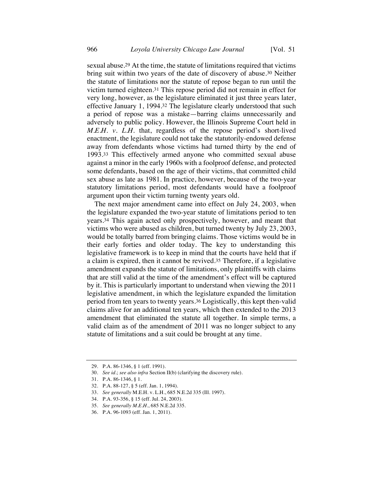sexual abuse.29 At the time, the statute of limitations required that victims bring suit within two years of the date of discovery of abuse.30 Neither the statute of limitations nor the statute of repose began to run until the victim turned eighteen.31 This repose period did not remain in effect for very long, however, as the legislature eliminated it just three years later, effective January 1, 1994.32 The legislature clearly understood that such a period of repose was a mistake—barring claims unnecessarily and adversely to public policy. However, the Illinois Supreme Court held in *M.E.H. v. L.H.* that, regardless of the repose period's short-lived enactment, the legislature could not take the statutorily-endowed defense away from defendants whose victims had turned thirty by the end of 1993.33 This effectively armed anyone who committed sexual abuse against a minor in the early 1960s with a foolproof defense, and protected some defendants, based on the age of their victims, that committed child sex abuse as late as 1981. In practice, however, because of the two-year statutory limitations period, most defendants would have a foolproof argument upon their victim turning twenty years old.

The next major amendment came into effect on July 24, 2003, when the legislature expanded the two-year statute of limitations period to ten years.34 This again acted only prospectively, however, and meant that victims who were abused as children, but turned twenty by July 23, 2003, would be totally barred from bringing claims. Those victims would be in their early forties and older today. The key to understanding this legislative framework is to keep in mind that the courts have held that if a claim is expired, then it cannot be revived.35 Therefore, if a legislative amendment expands the statute of limitations, only plaintiffs with claims that are still valid at the time of the amendment's effect will be captured by it. This is particularly important to understand when viewing the 2011 legislative amendment, in which the legislature expanded the limitation period from ten years to twenty years.36 Logistically, this kept then-valid claims alive for an additional ten years, which then extended to the 2013 amendment that eliminated the statute all together. In simple terms, a valid claim as of the amendment of 2011 was no longer subject to any statute of limitations and a suit could be brought at any time.

<sup>29.</sup> P.A. 86-1346, § 1 (eff. 1991).

<sup>30.</sup> *See id.*; *see also infra* Section II(b) (clarifying the discovery rule).

<sup>31.</sup> P.A. 86-1346, § 1.

<sup>32.</sup> P.A. 88-127, § 5 (eff. Jan. 1, 1994).

<sup>33.</sup> *See generally* M.E.H. v. L.H., 685 N.E.2d 335 (Ill. 1997).

<sup>34.</sup> P.A. 93-356, § 15 (eff. Jul. 24, 2003).

<sup>35.</sup> *See generally M.E.H.*, 685 N.E.2d 335.

<sup>36.</sup> P.A. 96-1093 (eff. Jan. 1, 2011).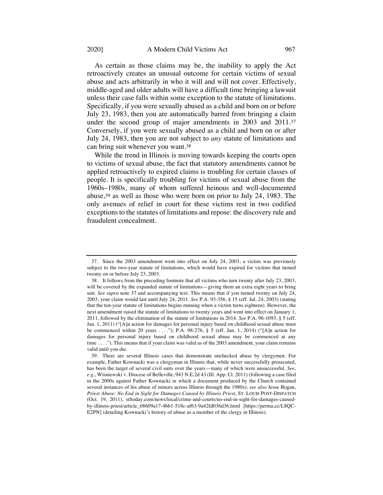As certain as those claims may be, the inability to apply the Act retroactively creates an unusual outcome for certain victims of sexual abuse and acts arbitrarily in who it will and will not cover. Effectively, middle-aged and older adults will have a difficult time bringing a lawsuit unless their case falls within some exception to the statute of limitations. Specifically, if you were sexually abused as a child and born on or before July 23, 1983, then you are automatically barred from bringing a claim under the second group of major amendments in 2003 and 2011.37 Conversely, if you were sexually abused as a child and born on or after July 24, 1983, then you are not subject to *any* statute of limitations and can bring suit whenever you want.38

While the trend in Illinois is moving towards keeping the courts open to victims of sexual abuse, the fact that statutory amendments cannot be applied retroactively to expired claims is troubling for certain classes of people. It is specifically troubling for victims of sexual abuse from the 1960s–1980s, many of whom suffered heinous and well-documented abuse,39 as well as those who were born on prior to July 24, 1983. The only avenues of relief in court for these victims rest in two codified exceptions to the statutes of limitations and repose: the discovery rule and fraudulent concealment.

<sup>37.</sup> Since the 2003 amendment went into effect on July 24, 2003, a victim was previously subject to the two-year statute of limitations, which would have expired for victims that turned twenty on or before July 23, 2003.

<sup>38.</sup> It follows from the preceding footnote that all victims who turn twenty after July 23, 2003, will be covered by the expanded statute of limitations—giving them an extra eight years to bring suit. *See supra* note 37 and accompanying text. This means that if you turned twenty on July 24, 2003, your claim would last until July 24, 2011. *See* P.A. 93-356, § 15 (eff. Jul. 24, 2003) (stating that the ten-year statute of limitations begins running when a victim turns eighteen). However, the next amendment raised the statute of limitations to twenty years and went into effect on January 1, 2011, followed by the elimination of the statute of limitations in 2014. *See* P.A. 96-1093, § 5 (eff. Jan. 1, 2011) ("[A]n action for damages for personal injury based on childhood sexual abuse must be commenced within 20 years . . . ."); P.A. 98-276, § 5 (eff. Jan. 1, 2014) ("[A]n action for damages for personal injury based on childhood sexual abuse may be commenced at any time . . . ."). This means that if your claim was valid as of the 2003 amendment, your claim remains valid until you die.

<sup>39.</sup> There are several Illinois cases that demonstrate unchecked abuse by clergymen. For example, Father Kownacki was a clergyman in Illinois that, while never successfully prosecuted, has been the target of several civil suits over the years—many of which were unsuccessful. *See, e.g.*, Wisniewski v. Diocese of Belleville, 943 N.E.2d 43 (Ill. App. Ct. 2011) (following a case filed in the 2000s against Father Kownacki in which a document produced by the Church contained several instances of his abuse of minors across Illinois through the 1980s); *see also* Jesse Bogan, *Priest Abuse: No End in Sight for Damages Caused by Illinois Priest*, ST. LOUIS POST-DISPATCH (Oct. 19, 2011), stltoday.com/news/local/crime-and-courts/no-end-in-sight-for-damages-causedby-illinois-priest/article\_08609a17-4bb1-518c-af63-9a42fd036d36.html [https://perma.cc/L8QC-E2PN] (detailing Kownacki's history of abuse as a member of the clergy in Illinois).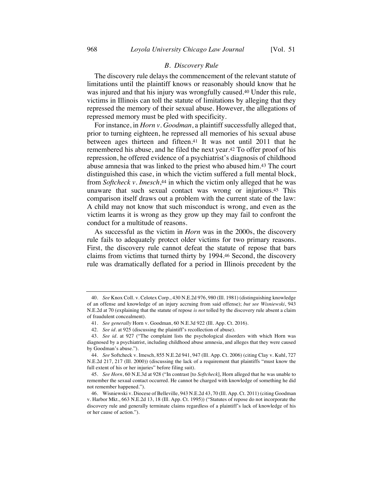# *B. Discovery Rule*

The discovery rule delays the commencement of the relevant statute of limitations until the plaintiff knows or reasonably should know that he was injured and that his injury was wrongfully caused.40 Under this rule, victims in Illinois can toll the statute of limitations by alleging that they repressed the memory of their sexual abuse. However, the allegations of repressed memory must be pled with specificity.

For instance, in *Horn v. Goodman*, a plaintiff successfully alleged that, prior to turning eighteen, he repressed all memories of his sexual abuse between ages thirteen and fifteen.41 It was not until 2011 that he remembered his abuse, and he filed the next year.42 To offer proof of his repression, he offered evidence of a psychiatrist's diagnosis of childhood abuse amnesia that was linked to the priest who abused him.43 The court distinguished this case, in which the victim suffered a full mental block, from *Softcheck v. Imesch*,44 in which the victim only alleged that he was unaware that such sexual contact was wrong or injurious.45 This comparison itself draws out a problem with the current state of the law: A child may not know that such misconduct is wrong, and even as the victim learns it is wrong as they grow up they may fail to confront the conduct for a multitude of reasons.

As successful as the victim in *Horn* was in the 2000s, the discovery rule fails to adequately protect older victims for two primary reasons. First, the discovery rule cannot defeat the statute of repose that bars claims from victims that turned thirty by 1994.46 Second, the discovery rule was dramatically deflated for a period in Illinois precedent by the

<sup>40.</sup> *See* Knox Coll. v. Celotex Corp., 430 N.E.2d 976, 980 (Ill. 1981) (distinguishing knowledge of an offense and knowledge of an injury accruing from said offense); *but see Wisniewski*, 943 N.E.2d at 70 (explaining that the statute of repose *is not* tolled by the discovery rule absent a claim of fraudulent concealment).

<sup>41.</sup> *See generally* Horn v. Goodman, 60 N.E.3d 922 (Ill. App. Ct. 2016).

<sup>42.</sup> *See id.* at 925 (discussing the plaintiff's recollection of abuse).

<sup>43.</sup> *See id.* at 927 ("The complaint lists the psychological disorders with which Horn was diagnosed by a psychiatrist, including childhood abuse amnesia, and alleges that they were caused by Goodman's abuse.").

<sup>44.</sup> *See* Softcheck v. Imesch, 855 N.E.2d 941, 947 (Ill. App. Ct. 2006) (citing Clay v. Kuhl, 727 N.E.2d 217, 217 (Ill. 2000)) (discussing the lack of a requirement that plaintiffs "must know the full extent of his or her injuries" before filing suit).

<sup>45.</sup> *See Horn*, 60 N.E.3d at 928 ("In contrast [to *Softcheck*], Horn alleged that he was unable to remember the sexual contact occurred. He cannot be charged with knowledge of something he did not remember happened.").

<sup>46.</sup> Wisniewski v. Diocese of Belleville, 943 N.E.2d 43, 70 (Ill. App. Ct. 2011) (citing Goodman v. Harbor Mkt., 663 N.E.2d 13, 18 (Ill. App. Ct. 1995)) ("Statutes of repose do not incorporate the discovery rule and generally terminate claims regardless of a plaintiff's lack of knowledge of his or her cause of action.").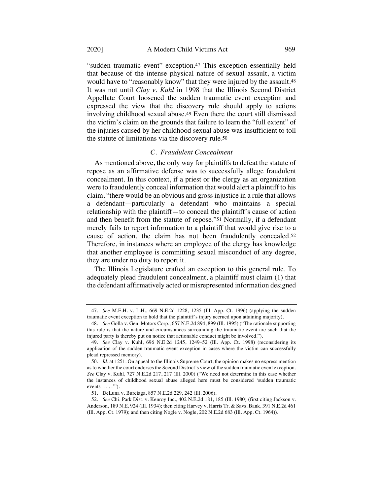"sudden traumatic event" exception.47 This exception essentially held that because of the intense physical nature of sexual assault, a victim would have to "reasonably know" that they were injured by the assault.<sup>48</sup> It was not until *Clay v. Kuhl* in 1998 that the Illinois Second District Appellate Court loosened the sudden traumatic event exception and expressed the view that the discovery rule should apply to actions involving childhood sexual abuse.49 Even there the court still dismissed the victim's claim on the grounds that failure to learn the "full extent" of the injuries caused by her childhood sexual abuse was insufficient to toll the statute of limitations via the discovery rule.50

# *C. Fraudulent Concealment*

As mentioned above, the only way for plaintiffs to defeat the statute of repose as an affirmative defense was to successfully allege fraudulent concealment. In this context, if a priest or the clergy as an organization were to fraudulently conceal information that would alert a plaintiff to his claim, "there would be an obvious and gross injustice in a rule that allows a defendant—particularly a defendant who maintains a special relationship with the plaintiff—to conceal the plaintiff's cause of action and then benefit from the statute of repose."51 Normally, if a defendant merely fails to report information to a plaintiff that would give rise to a cause of action, the claim has not been fraudulently concealed.52 Therefore, in instances where an employee of the clergy has knowledge that another employee is committing sexual misconduct of any degree, they are under no duty to report it.

The Illinois Legislature crafted an exception to this general rule. To adequately plead fraudulent concealment, a plaintiff must claim (1) that the defendant affirmatively acted or misrepresented information designed

<sup>47.</sup> *See* M.E.H. v. L.H., 669 N.E.2d 1228, 1235 (Ill. App. Ct. 1996) (applying the sudden traumatic event exception to hold that the plaintiff's injury accrued upon attaining majority).

<sup>48.</sup> *See* Golla v. Gen. Motors Corp., 657 N.E.2d 894, 899 (Ill. 1995) ("The rationale supporting this rule is that the nature and circumstances surrounding the traumatic event are such that the injured party is thereby put on notice that actionable conduct might be involved.").

<sup>49.</sup> *See* Clay v. Kuhl, 696 N.E.2d 1245, 1249–52 (Ill. App. Ct. 1998) (reconsidering its application of the sudden traumatic event exception in cases where the victim can successfully plead repressed memory).

<sup>50.</sup> *Id.* at 1251. On appeal to the Illinois Supreme Court, the opinion makes no express mention as to whether the court endorses the Second District's view of the sudden traumatic event exception. *See* Clay v. Kuhl, 727 N.E.2d 217, 217 (Ill. 2000) ("We need not determine in this case whether the instances of childhood sexual abuse alleged here must be considered 'sudden traumatic events  $\dots$ .").

<sup>51.</sup> DeLuna v. Burciaga, 857 N.E.2d 229, 242 (Ill. 2006).

<sup>52.</sup> *See* Chi. Park Dist. v. Kenroy Inc., 402 N.E.2d 181, 185 (Ill. 1980) (first citing Jackson v. Anderson, 189 N.E. 924 (Ill. 1934); then citing Harvey v. Harris Tr. & Savs. Bank, 391 N.E.2d 461 (Ill. App. Ct. 1979); and then citing Nogle v. Nogle, 202 N.E.2d 683 (Ill. App. Ct. 1964)).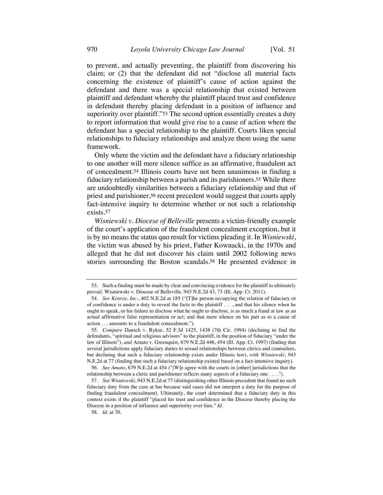to prevent, and actually preventing, the plaintiff from discovering his claim; or (2) that the defendant did not "disclose all material facts concerning the existence of plaintiff's cause of action against the defendant and there was a special relationship that existed between plaintiff and defendant whereby the plaintiff placed trust and confidence in defendant thereby placing defendant in a position of influence and superiority over plaintiff."<sup>53</sup> The second option essentially creates a duty to report information that would give rise to a cause of action where the defendant has a special relationship to the plaintiff. Courts liken special relationships to fiduciary relationships and analyze them using the same framework.

Only where the victim and the defendant have a fiduciary relationship to one another will mere silence suffice as an affirmative, fraudulent act of concealment.54 Illinois courts have not been unanimous in finding a fiduciary relationship between a parish and its parishioners.55 While there are undoubtedly similarities between a fiduciary relationship and that of priest and parishioner,56 recent precedent would suggest that courts apply fact-intensive inquiry to determine whether or not such a relationship exists.57

*Wisniewski v. Diocese of Belleville* presents a victim-friendly example of the court's application of the fraudulent concealment exception, but it is by no means the status quo result for victims pleading it. In *Wisniewski*, the victim was abused by his priest, Father Kownacki, in the 1970s and alleged that he did not discover his claim until 2002 following news stories surrounding the Boston scandals.58 He presented evidence in

58. *Id.* at 70.

<sup>53.</sup> Such a finding must be made by clear and convincing evidence for the plaintiff to ultimately prevail. Wisniewski v. Diocese of Belleville, 943 N.E.2d 43, 73 (Ill. App. Ct. 2011).

<sup>54.</sup> *See Kenroy, Inc.*, 402 N.E.2d at 185 ("[T]he person occupying the relation of fiduciary or of confidence is under a duty to reveal the facts to the plaintiff . . . , and that his silence when he ought to speak, or his failure to disclose what he ought to disclose, is as much a fraud at law as an actual affirmative false representation or act; and that mere silence on his part as to a cause of action . . . amounts to a fraudulent concealment.").

<sup>55.</sup> *Compare* Dausch v. Rykse, 52 F.3d 1425, 1438 (7th Cir. 1994) (declining to find the defendants, "spiritual and religious advisors" to the plaintiff, in the position of fiduciary "under the law of Illinois"), *and* Amato v. Greenquist, 679 N.E.2d 446, 454 (Ill. App. Ct. 1997) (finding that several jurisdictions apply fiduciary duties to sexual relationships between clerics and counselees, but declining that such a fiduciary relationship exists under Illinois law), *with Wisniewski*, 943 N.E.2d at 77 (finding that such a fiduciary relationship existed based on a fact-intensive inquiry).

<sup>56.</sup> *See Amato*, 679 N.E.2d at 454 ("[W]e agree with the courts in [other] jurisdictions that the relationship between a cleric and parishioner reflects many aspects of a fiduciary one . . . .").

<sup>57.</sup> *See Wisniewski*, 943 N.E.2d at 77 (distinguishing other Illinois precedent that found no such fiduciary duty from the case at bar because said cases did not interpret a duty for the purpose of finding fraudulent concealment). Ultimately, the court determined that a fiduciary duty in this context exists if the plaintiff "placed his trust and confidence in the Diocese thereby placing the Diocese in a position of influence and superiority over him." *Id.*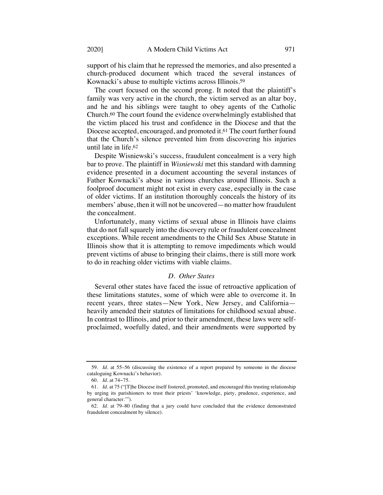support of his claim that he repressed the memories, and also presented a church-produced document which traced the several instances of Kownacki's abuse to multiple victims across Illinois.59

The court focused on the second prong. It noted that the plaintiff's family was very active in the church, the victim served as an altar boy, and he and his siblings were taught to obey agents of the Catholic Church.60 The court found the evidence overwhelmingly established that the victim placed his trust and confidence in the Diocese and that the Diocese accepted, encouraged, and promoted it.61 The court further found that the Church's silence prevented him from discovering his injuries until late in life.62

Despite Wisniewski's success, fraudulent concealment is a very high bar to prove. The plaintiff in *Wisniewski* met this standard with damning evidence presented in a document accounting the several instances of Father Kownacki's abuse in various churches around Illinois. Such a foolproof document might not exist in every case, especially in the case of older victims. If an institution thoroughly conceals the history of its members' abuse, then it will not be uncovered—no matter how fraudulent the concealment.

Unfortunately, many victims of sexual abuse in Illinois have claims that do not fall squarely into the discovery rule or fraudulent concealment exceptions. While recent amendments to the Child Sex Abuse Statute in Illinois show that it is attempting to remove impediments which would prevent victims of abuse to bringing their claims, there is still more work to do in reaching older victims with viable claims.

## *D. Other States*

Several other states have faced the issue of retroactive application of these limitations statutes, some of which were able to overcome it. In recent years, three states—New York, New Jersey, and California heavily amended their statutes of limitations for childhood sexual abuse. In contrast to Illinois, and prior to their amendment, these laws were selfproclaimed, woefully dated, and their amendments were supported by

<sup>59.</sup> *Id.* at 55–56 (discussing the existence of a report prepared by someone in the diocese cataloguing Kownacki's behavior).

<sup>60.</sup> *Id.* at 74−75.

<sup>61.</sup> *Id.* at 75 ("[T]he Diocese itself fostered, promoted, and encouraged this trusting relationship by urging its parishioners to trust their priests' 'knowledge, piety, prudence, experience, and general character.'").

<sup>62.</sup> *Id.* at 79–80 (finding that a jury could have concluded that the evidence demonstrated fraudulent concealment by silence).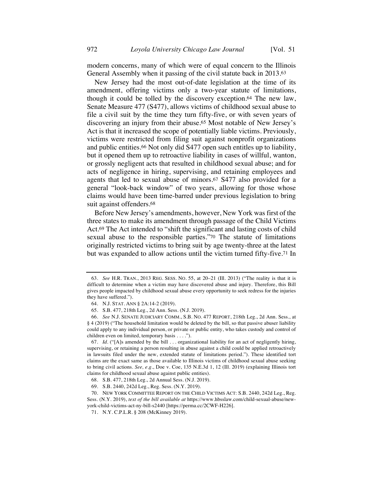modern concerns, many of which were of equal concern to the Illinois General Assembly when it passing of the civil statute back in 2013.63

New Jersey had the most out-of-date legislation at the time of its amendment, offering victims only a two-year statute of limitations, though it could be tolled by the discovery exception.64 The new law, Senate Measure 477 (S477), allows victims of childhood sexual abuse to file a civil suit by the time they turn fifty-five, or with seven years of discovering an injury from their abuse.65 Most notable of New Jersey's Act is that it increased the scope of potentially liable victims. Previously, victims were restricted from filing suit against nonprofit organizations and public entities.66 Not only did S477 open such entitles up to liability, but it opened them up to retroactive liability in cases of willful, wanton, or grossly negligent acts that resulted in childhood sexual abuse; and for acts of negligence in hiring, supervising, and retaining employees and agents that led to sexual abuse of minors.67 S477 also provided for a general "look-back window" of two years, allowing for those whose claims would have been time-barred under previous legislation to bring suit against offenders.68

Before New Jersey's amendments, however, New York was first of the three states to make its amendment through passage of the Child Victims Act.69 The Act intended to "shift the significant and lasting costs of child sexual abuse to the responsible parties."70 The statute of limitations originally restricted victims to bring suit by age twenty-three at the latest but was expanded to allow actions until the victim turned fifty-five.71 In

<sup>63.</sup> *See* H.R. TRAN., 2013 REG. SESS. NO. 55, at 20–21 (Ill. 2013) ("The reality is that it is difficult to determine when a victim may have discovered abuse and injury. Therefore, this Bill gives people impacted by childhood sexual abuse every opportunity to seek redress for the injuries they have suffered.").

<sup>64.</sup> N.J. STAT. ANN § 2A:14-2 (2019).

<sup>65.</sup> S.B. 477, 218th Leg., 2d Ann. Sess. (N.J. 2019).

<sup>66.</sup> *See* N.J. SENATE JUDICIARY COMM., S.B. NO. 477 REPORT, 218th Leg., 2d Ann. Sess., at § 4 (2019) ("The household limitation would be deleted by the bill, so that passive abuser liability could apply to any individual person, or private or public entity, who takes custody and control of children even on limited, temporary basis . . . .").

<sup>67.</sup> *Id.* ("[A]s amended by the bill . . . organizational liability for an act of negligently hiring, supervising, or retaining a person resulting in abuse against a child could be applied retroactively in lawsuits filed under the new, extended statute of limitations period."). These identified tort claims are the exact same as those available to Illinois victims of childhood sexual abuse seeking to bring civil actions. *See, e.g.*, Doe v. Coe, 135 N.E.3d 1, 12 (Ill. 2019) (explaining Illinois tort claims for childhood sexual abuse against public entities).

<sup>68.</sup> S.B. 477, 218th Leg., 2d Annual Sess. (N.J. 2019).

<sup>69.</sup> S.B. 2440, 242d Leg., Reg. Sess. (N.Y. 2019).

<sup>70.</sup> NEW YORK COMMITTEE REPORT ON THE CHILD VICTIMS ACT: S.B. 2440, 242d Leg., Reg. Sess. (N.Y. 2019), *text of the bill available at* https://www.hbsslaw.com/child-sexual-abuse/newyork-child-victims-act-ny-bill-s2440 [https://perma.cc/2CWF-H226].

<sup>71.</sup> N.Y. C.P.L.R. § 208 (McKinney 2019).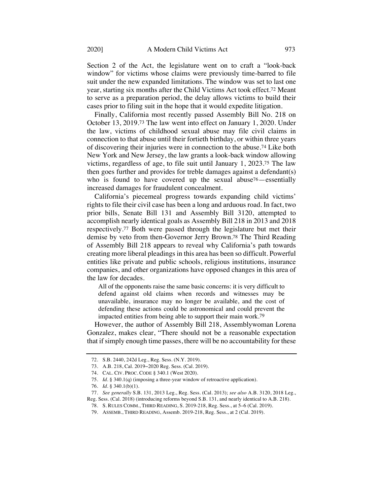Section 2 of the Act, the legislature went on to craft a "look-back window" for victims whose claims were previously time-barred to file suit under the new expanded limitations. The window was set to last one year, starting six months after the Child Victims Act took effect.72 Meant to serve as a preparation period, the delay allows victims to build their cases prior to filing suit in the hope that it would expedite litigation.

Finally, California most recently passed Assembly Bill No. 218 on October 13, 2019.73 The law went into effect on January 1, 2020. Under the law, victims of childhood sexual abuse may file civil claims in connection to that abuse until their fortieth birthday, or within three years of discovering their injuries were in connection to the abuse.74 Like both New York and New Jersey, the law grants a look-back window allowing victims, regardless of age, to file suit until January 1, 2023.75 The law then goes further and provides for treble damages against a defendant(s) who is found to have covered up the sexual abuse<sup>76</sup>—essentially increased damages for fraudulent concealment.

California's piecemeal progress towards expanding child victims' rights to file their civil case has been a long and arduous road. In fact, two prior bills, Senate Bill 131 and Assembly Bill 3120, attempted to accomplish nearly identical goals as Assembly Bill 218 in 2013 and 2018 respectively.77 Both were passed through the legislature but met their demise by veto from then-Governor Jerry Brown.78 The Third Reading of Assembly Bill 218 appears to reveal why California's path towards creating more liberal pleadings in this area has been so difficult. Powerful entities like private and public schools, religious institutions, insurance companies, and other organizations have opposed changes in this area of the law for decades.

All of the opponents raise the same basic concerns: it is very difficult to defend against old claims when records and witnesses may be unavailable, insurance may no longer be available, and the cost of defending these actions could be astronomical and could prevent the impacted entities from being able to support their main work.79

However, the author of Assembly Bill 218, Assemblywoman Lorena Gonzalez, makes clear, "There should not be a reasonable expectation that if simply enough time passes, there will be no accountability for these

<sup>72.</sup> S.B. 2440, 242d Leg., Reg. Sess. (N.Y. 2019).

<sup>73.</sup> A.B. 218, Cal. 2019−2020 Reg. Sess. (Cal. 2019).

<sup>74.</sup> CAL. CIV. PROC. CODE § 340.1 (West 2020).

<sup>75.</sup> *Id.* § 340.1(q) (imposing a three-year window of retroactive application).

<sup>76.</sup> *Id.* § 340.1(b)(1).

<sup>77.</sup> *See generally* S.B. 131, 2013 Leg., Reg. Sess. (Cal. 2013); *see also* A.B. 3120, 2018 Leg., Reg. Sess. (Cal. 2018) (introducing reforms beyond S.B. 131, and nearly identical to A.B. 218).

<sup>78.</sup> S. RULES COMM., THIRD READING, S. 2019-218, Reg. Sess., at 5–6 (Cal. 2019).

<sup>79.</sup> ASSEMB., THIRD READING, Assemb. 2019-218, Reg. Sess., at 2 (Cal. 2019).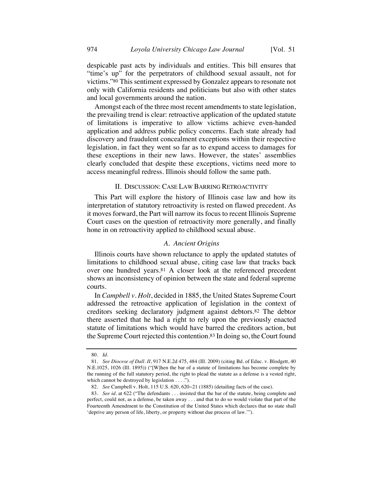despicable past acts by individuals and entities. This bill ensures that "time's up" for the perpetrators of childhood sexual assault, not for victims."80 This sentiment expressed by Gonzalez appears to resonate not only with California residents and politicians but also with other states and local governments around the nation.

Amongst each of the three most recent amendments to state legislation, the prevailing trend is clear: retroactive application of the updated statute of limitations is imperative to allow victims achieve even-handed application and address public policy concerns. Each state already had discovery and fraudulent concealment exceptions within their respective legislation, in fact they went so far as to expand access to damages for these exceptions in their new laws. However, the states' assemblies clearly concluded that despite these exceptions, victims need more to access meaningful redress. Illinois should follow the same path.

#### II. DISCUSSION: CASE LAW BARRING RETROACTIVITY

This Part will explore the history of Illinois case law and how its interpretation of statutory retroactivity is rested on flawed precedent. As it moves forward, the Part will narrow its focus to recent Illinois Supreme Court cases on the question of retroactivity more generally, and finally hone in on retroactivity applied to childhood sexual abuse.

## *A. Ancient Origins*

Illinois courts have shown reluctance to apply the updated statutes of limitations to childhood sexual abuse, citing case law that tracks back over one hundred years.81 A closer look at the referenced precedent shows an inconsistency of opinion between the state and federal supreme courts.

In *Campbell v. Holt*, decided in 1885, the United States Supreme Court addressed the retroactive application of legislation in the context of creditors seeking declaratory judgment against debtors.82 The debtor there asserted that he had a right to rely upon the previously enacted statute of limitations which would have barred the creditors action, but the Supreme Court rejected this contention.83 In doing so, the Court found

<sup>80.</sup> *Id.*

<sup>81.</sup> *See Diocese of Dall. II*, 917 N.E.2d 475, 484 (Ill. 2009) (citing Bd. of Educ. v. Blodgett, 40 N.E.1025, 1026 (Ill. 1895)) ("[W]hen the bar of a statute of limitations has become complete by the running of the full statutory period, the right to plead the statute as a defense is a vested right, which cannot be destroyed by legislation . . . .").

<sup>82.</sup> *See* Campbell v. Holt, 115 U.S. 620, 620−21 (1885) (detailing facts of the case).

<sup>83.</sup> *See id.* at 622 ("The defendants . . . insisted that the bar of the statute, being complete and perfect, could not, as a defense, be taken away . . . and that to do so would violate that part of the Fourteenth Amendment to the Constitution of the United States which declares that no state shall 'deprive any person of life, liberty, or property without due process of law.'").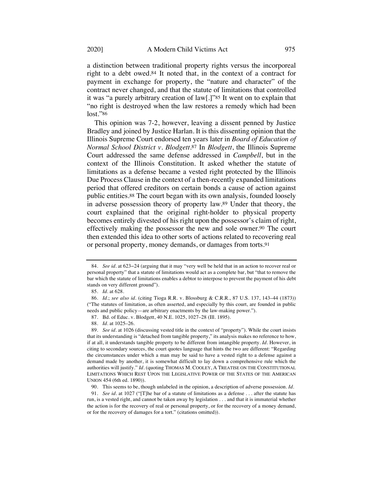a distinction between traditional property rights versus the incorporeal right to a debt owed.84 It noted that, in the context of a contract for payment in exchange for property, the "nature and character" of the contract never changed, and that the statute of limitations that controlled it was "a purely arbitrary creation of law[.]"85 It went on to explain that "no right is destroyed when the law restores a remedy which had been lost."86

This opinion was 7-2, however, leaving a dissent penned by Justice Bradley and joined by Justice Harlan. It is this dissenting opinion that the Illinois Supreme Court endorsed ten years later in *Board of Education of Normal School District v. Blodgett*.87 In *Blodgett*, the Illinois Supreme Court addressed the same defense addressed in *Campbell*, but in the context of the Illinois Constitution. It asked whether the statute of limitations as a defense became a vested right protected by the Illinois Due Process Clause in the context of a then-recently expanded limitations period that offered creditors on certain bonds a cause of action against public entities.88 The court began with its own analysis, founded loosely in adverse possession theory of property law.89 Under that theory, the court explained that the original right-holder to physical property becomes entirely divested of his right upon the possessor's claim of right, effectively making the possessor the new and sole owner.90 The court then extended this idea to other sorts of actions related to recovering real or personal property, money demands, or damages from torts.91

<sup>84.</sup> *See id.* at 623−24 (arguing that it may "very well be held that in an action to recover real or personal property" that a statute of limitations would act as a complete bar, but "that to remove the bar which the statute of limitations enables a debtor to interpose to prevent the payment of his debt stands on very different ground").

<sup>85.</sup> *Id.* at 628.

<sup>86.</sup> *Id.*; *see also id.* (citing Tioga R.R. v. Blossburg & C.R.R., 87 U.S. 137, 143–44 (1873)) ("The statutes of limitation, as often asserted, and especially by this court, are founded in public needs and public policy—are arbitrary enactments by the law-making power.").

<sup>87.</sup> Bd. of Educ. v. Blodgett, 40 N.E. 1025, 1027–28 (Ill. 1895).

<sup>88.</sup> *Id.* at 1025–26.

<sup>89.</sup> *See id.* at 1026 (discussing vested title in the context of "property"). While the court insists that its understanding is "detached from tangible property," its analysis makes no reference to how, if at all, it understands tangible property to be different from intangible property. *Id.* However, in citing to secondary sources, the court quotes language that hints the two are different: "Regarding the circumstances under which a man may be said to have a vested right to a defense against a demand made by another, it is somewhat difficult to lay down a comprehensive rule which the authorities will justify." *Id.* (quoting THOMAS M. COOLEY, A TREATISE ON THE CONSTITUTIONAL LIMITATIONS WHICH REST UPON THE LEGISLATIVE POWER OF THE STATES OF THE AMERICAN UNION 454 (6th ed. 1890)).

<sup>90.</sup> This seems to be, though unlabeled in the opinion, a description of adverse possession. *Id.*

<sup>91.</sup> *See id.* at 1027 ("[T]he bar of a statute of limitations as a defense . . . after the statute has run, is a vested right, and cannot be taken away by legislation . . . and that it is immaterial whether the action is for the recovery of real or personal property, or for the recovery of a money demand, or for the recovery of damages for a tort." (citations omitted)).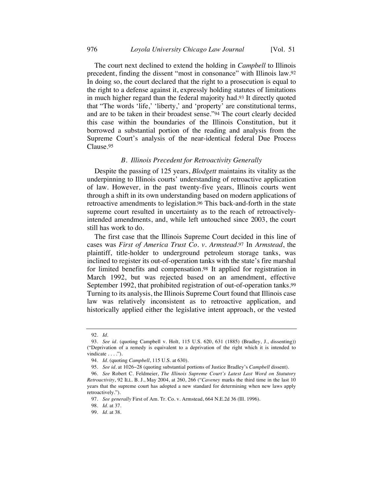The court next declined to extend the holding in *Campbell* to Illinois precedent, finding the dissent "most in consonance" with Illinois law.92 In doing so, the court declared that the right to a prosecution is equal to the right to a defense against it, expressly holding statutes of limitations in much higher regard than the federal majority had.93 It directly quoted that "The words 'life,' 'liberty,' and 'property' are constitutional terms, and are to be taken in their broadest sense."94 The court clearly decided this case within the boundaries of the Illinois Constitution, but it borrowed a substantial portion of the reading and analysis from the Supreme Court's analysis of the near-identical federal Due Process Clause.95

#### *B. Illinois Precedent for Retroactivity Generally*

Despite the passing of 125 years, *Blodgett* maintains its vitality as the underpinning to Illinois courts' understanding of retroactive application of law. However, in the past twenty-five years, Illinois courts went through a shift in its own understanding based on modern applications of retroactive amendments to legislation.96 This back-and-forth in the state supreme court resulted in uncertainty as to the reach of retroactivelyintended amendments, and, while left untouched since 2003, the court still has work to do.

The first case that the Illinois Supreme Court decided in this line of cases was *First of America Trust Co. v. Armstead*.97 In *Armstead*, the plaintiff, title-holder to underground petroleum storage tanks, was inclined to register its out-of-operation tanks with the state's fire marshal for limited benefits and compensation.98 It applied for registration in March 1992, but was rejected based on an amendment, effective September 1992, that prohibited registration of out-of-operation tanks.<sup>99</sup> Turning to its analysis, the Illinois Supreme Court found that Illinois case law was relatively inconsistent as to retroactive application, and historically applied either the legislative intent approach, or the vested

<sup>92.</sup> *Id.*

<sup>93.</sup> *See id.* (quoting Campbell v. Holt, 115 U.S. 620, 631 (1885) (Bradley, J., dissenting)) ("Deprivation of a remedy is equivalent to a deprivation of the right which it is intended to vindicate . . . .").

<sup>94.</sup> *Id.* (quoting *Campbell*, 115 U.S. at 630).

<sup>95.</sup> *See id.* at 1026−28 (quoting substantial portions of Justice Bradley's *Campbell* dissent).

<sup>96.</sup> *See* Robert C. Feldmeier, *The Illinois Supreme Court's Latest Last Word on Statutory Retroactivity*, 92 ILL. B. J., May 2004, at 260, 266 ("*Caveney* marks the third time in the last 10 years that the supreme court has adopted a new standard for determining when new laws apply retroactively.").

<sup>97.</sup> *See generally* First of Am. Tr. Co. v. Armstead, 664 N.E.2d 36 (Ill. 1996).

<sup>98.</sup> *Id.* at 37.

<sup>99.</sup> *Id.* at 38.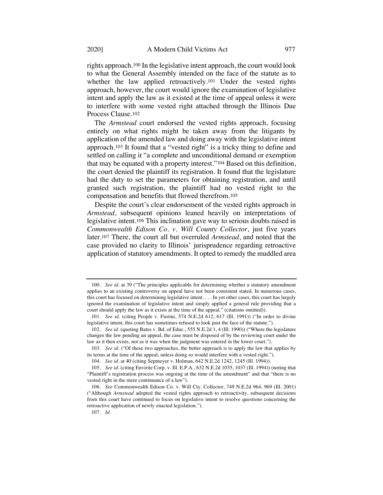rights approach.100 In the legislative intent approach, the court would look to what the General Assembly intended on the face of the statute as to whether the law applied retroactively.<sup>101</sup> Under the vested rights approach, however, the court would ignore the examination of legislative intent and apply the law as it existed at the time of appeal unless it were to interfere with some vested right attached through the Illinois Due Process Clause.102

The *Armstead* court endorsed the vested rights approach, focusing entirely on what rights might be taken away from the litigants by application of the amended law and doing away with the legislative intent approach.103 It found that a "vested right" is a tricky thing to define and settled on calling it "a complete and unconditional demand or exemption that may be equated with a property interest."104 Based on this definition, the court denied the plaintiff its registration. It found that the legislature had the duty to set the parameters for obtaining registration, and until granted such registration, the plaintiff had no vested right to the compensation and benefits that flowed therefrom.105

Despite the court's clear endorsement of the vested rights approach in *Armstead*, subsequent opinions leaned heavily on interpretations of legislative intent.106 This inclination gave way to serious doubts raised in *Commonwealth Edison Co. v. Will County Collector*, just five years later.107 There, the court all but overruled *Armstead*, and noted that the case provided no clarity to Illinois' jurisprudence regarding retroactive application of statutory amendments. It opted to remedy the muddled area

<sup>100.</sup> *See id.* at 39 ("The principles applicable for determining whether a statutory amendment applies to an existing controversy on appeal have not been consistent stated. In numerous cases, this court has focused on determining legislative intent. . . . In yet other cases, this court has largely ignored the examination of legislative intent and simply applied a general rule providing that a court should apply the law as it exists at the time of the appeal." (citations omitted)).

<sup>101.</sup> *See id.* (citing People v. Fiorini, 574 N.E.2d 612, 617 (Ill. 1991)) ("In order to divine legislative intent, this court has sometimes refused to look past the face of the statute.").

<sup>102.</sup> *See id.* (quoting Bates v. Bd. of Educ., 555 N.E.2d 1, 4 (Ill. 1990)) ("Where the legislature changes the law pending an appeal, the case must be disposed of by the reviewing court under the law as it then exists, not as it was when the judgment was entered in the lower court.").

<sup>103.</sup> *See id.* ("Of these two approaches, the better approach is to apply the law that applies by its terms at the time of the appeal, unless doing so would interfere with a vested right.").

<sup>104.</sup> *See id.* at 40 (citing Sepmeyer v. Holman, 642 N.E.2d 1242, 1245 (Ill. 1994)).

<sup>105.</sup> *See id.* (citing Envirite Corp. v. Ill. E.P.A., 632 N.E.2d 1035, 1037 (Ill. 1994)) (noting that "Plaintiff's registration process was ongoing at the time of the amendment" and that "there is no vested right in the mere continuance of a law").

<sup>106.</sup> *See* Commonwealth Edison Co. v. Will Cty. Collector, 749 N.E.2d 964, 969 (Ill. 2001) ("Although *Armstead* adopted the vested rights approach to retroactivity, subsequent decisions from this court have continued to focus on legislative intent to resolve questions concerning the retroactive application of newly enacted legislation.").

<sup>107.</sup> *Id.*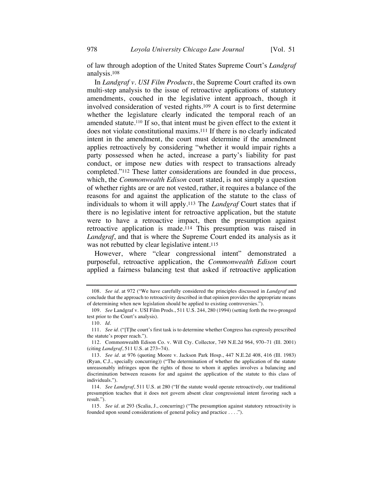of law through adoption of the United States Supreme Court's *Landgraf* analysis.108

In *Landgraf v. USI Film Products*, the Supreme Court crafted its own multi-step analysis to the issue of retroactive applications of statutory amendments, couched in the legislative intent approach, though it involved consideration of vested rights.109 A court is to first determine whether the legislature clearly indicated the temporal reach of an amended statute.<sup>110</sup> If so, that intent must be given effect to the extent it does not violate constitutional maxims.111 If there is no clearly indicated intent in the amendment, the court must determine if the amendment applies retroactively by considering "whether it would impair rights a party possessed when he acted, increase a party's liability for past conduct, or impose new duties with respect to transactions already completed."112 These latter considerations are founded in due process, which, the *Commonwealth Edison* court stated, is not simply a question of whether rights are or are not vested, rather, it requires a balance of the reasons for and against the application of the statute to the class of individuals to whom it will apply.113 The *Landgraf* Court states that if there is no legislative intent for retroactive application, but the statute were to have a retroactive impact, then the presumption against retroactive application is made.114 This presumption was raised in *Landgraf*, and that is where the Supreme Court ended its analysis as it was not rebutted by clear legislative intent.<sup>115</sup>

However, where "clear congressional intent" demonstrated a purposeful, retroactive application, the *Commonwealth Edison* court applied a fairness balancing test that asked if retroactive application

<sup>108.</sup> *See id.* at 972 ("We have carefully considered the principles discussed in *Landgraf* and conclude that the approach to retroactivity described in that opinion provides the appropriate means of determining when new legislation should be applied to existing controversies.").

<sup>109.</sup> *See* Landgraf v. USI Film Prods., 511 U.S. 244, 280 (1994) (setting forth the two-pronged test prior to the Court's analysis).

<sup>110.</sup> *Id.*

<sup>111.</sup> *See id.* ("[T]he court's first task is to determine whether Congress has expressly prescribed the statute's proper reach.").

<sup>112.</sup> Commonwealth Edison Co. v. Will Cty. Collector, 749 N.E.2d 964, 970–71 (Ill. 2001) (citing *Landgraf*, 511 U.S. at 273−74).

<sup>113.</sup> *See id.* at 976 (quoting Moore v. Jackson Park Hosp., 447 N.E.2d 408, 416 (Ill. 1983) (Ryan, C.J., specially concurring)) ("The determination of whether the application of the statute unreasonably infringes upon the rights of those to whom it applies involves a balancing and discrimination between reasons for and against the application of the statute to this class of individuals.").

<sup>114.</sup> *See Landgraf*, 511 U.S. at 280 ("If the statute would operate retroactively, our traditional presumption teaches that it does not govern absent clear congressional intent favoring such a result.").

<sup>115.</sup> *See id.* at 293 (Scalia, J., concurring) ("The presumption against statutory retroactivity is founded upon sound considerations of general policy and practice . . . .").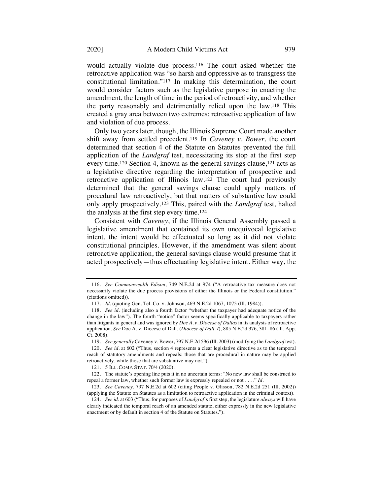would actually violate due process.116 The court asked whether the retroactive application was "so harsh and oppressive as to transgress the constitutional limitation."117 In making this determination, the court would consider factors such as the legislative purpose in enacting the amendment, the length of time in the period of retroactivity, and whether the party reasonably and detrimentally relied upon the law.118 This created a gray area between two extremes: retroactive application of law and violation of due process.

Only two years later, though, the Illinois Supreme Court made another shift away from settled precedent.119 In *Caveney v. Bower*, the court determined that section 4 of the Statute on Statutes prevented the full application of the *Landgraf* test, necessitating its stop at the first step every time.120 Section 4, known as the general savings clause,121 acts as a legislative directive regarding the interpretation of prospective and retroactive application of Illinois law.122 The court had previously determined that the general savings clause could apply matters of procedural law retroactively, but that matters of substantive law could only apply prospectively.123 This, paired with the *Landgraf* test, halted the analysis at the first step every time.124

Consistent with *Caveney*, if the Illinois General Assembly passed a legislative amendment that contained its own unequivocal legislative intent, the intent would be effectuated so long as it did not violate constitutional principles. However, if the amendment was silent about retroactive application, the general savings clause would presume that it acted prospectively—thus effectuating legislative intent. Either way, the

<sup>116.</sup> *See Commonwealth Edison*, 749 N.E.2d at 974 ("A retroactive tax measure does not necessarily violate the due process provisions of either the Illinois or the Federal constitution." (citations omitted)).

<sup>117.</sup> *Id.* (quoting Gen. Tel. Co. v. Johnson, 469 N.E.2d 1067, 1075 (Ill. 1984)).

<sup>118.</sup> *See id.* (including also a fourth factor "whether the taxpayer had adequate notice of the change in the law"). The fourth "notice" factor seems specifically applicable to taxpayers rather than litigants in general and was ignored by *Doe A. v. Diocese of Dallas* in its analysis of retroactive application. *See* Doe A. v. Diocese of Dall. (*Diocese of Dall. I*), 885 N.E.2d 376, 381–86 (Ill. App. Ct. 2008).

<sup>119.</sup> *See generally* Caveney v. Bower, 797 N.E.2d 596 (Ill. 2003) (modifying the *Landgraf* test).

<sup>120.</sup> *See id.* at 602 ("Thus, section 4 represents a clear legislative directive as to the temporal reach of statutory amendments and repeals: those that are procedural in nature may be applied retroactively, while those that are substantive may not.").

<sup>121.</sup> 5 ILL. COMP. STAT. 70/4 (2020).

<sup>122.</sup> The statute's opening line puts it in no uncertain terms: "No new law shall be construed to repeal a former law, whether such former law is expressly repealed or not . . . ." *Id.*

<sup>123.</sup> *See Caveney*, 797 N.E.2d at 602 (citing People v. Glisson, 782 N.E.2d 251 (Ill. 2002)) (applying the Statute on Statutes as a limitation to retroactive application in the criminal context).

<sup>124.</sup> *See id.* at 603 ("Thus, for purposes of *Landgraf*'s first step, the legislature *always* will have clearly indicated the temporal reach of an amended statute, either expressly in the new legislative enactment or by default in section 4 of the Statute on Statutes.").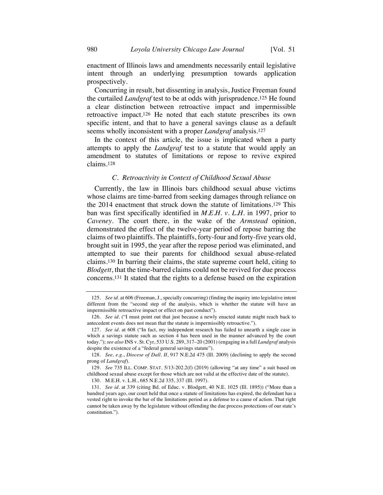enactment of Illinois laws and amendments necessarily entail legislative intent through an underlying presumption towards application prospectively.

Concurring in result, but dissenting in analysis, Justice Freeman found the curtailed *Landgraf* test to be at odds with jurisprudence.125 He found a clear distinction between retroactive impact and impermissible retroactive impact.126 He noted that each statute prescribes its own specific intent, and that to have a general savings clause as a default seems wholly inconsistent with a proper *Landgraf* analysis.127

In the context of this article, the issue is implicated when a party attempts to apply the *Landgraf* test to a statute that would apply an amendment to statutes of limitations or repose to revive expired claims.128

#### *C. Retroactivity in Context of Childhood Sexual Abuse*

Currently, the law in Illinois bars childhood sexual abuse victims whose claims are time-barred from seeking damages through reliance on the 2014 enactment that struck down the statute of limitations.129 This ban was first specifically identified in *M.E.H. v. L.H.* in 1997, prior to *Caveney*. The court there, in the wake of the *Armstead* opinion, demonstrated the effect of the twelve-year period of repose barring the claims of two plaintiffs. The plaintiffs, forty-four and forty-five years old, brought suit in 1995, the year after the repose period was eliminated, and attempted to sue their parents for childhood sexual abuse-related claims.130 In barring their claims, the state supreme court held, citing to *Blodgett*, that the time-barred claims could not be revived for due process concerns.131 It stated that the rights to a defense based on the expiration

<sup>125.</sup> *See id.* at 606 (Freeman, J., specially concurring) (finding the inquiry into legislative intent different from the "second step of the analysis, which is whether the statute will have an impermissible retroactive impact or effect on past conduct").

<sup>126.</sup> *See id.* ("I must point out that just because a newly enacted statute might reach back to antecedent events does not mean that the statute is impermissibly retroactive.").

<sup>127.</sup> *See id.* at 608 ("In fact, my independent research has failed to unearth a single case in which a savings statute such as section 4 has been used in the manner advanced by the court today."); *see also* INS v. St. Cyr, 533 U.S. 289, 317–20 (2001) (engaging in a full *Landgraf* analysis despite the existence of a "federal general savings statute").

<sup>128.</sup> *See, e.g.*, *Diocese of Dall. II*, 917 N.E.2d 475 (Ill. 2009) (declining to apply the second prong of *Landgraf*).

<sup>129.</sup> *See* 735 ILL. COMP. STAT. 5/13-202.2(f) (2019) (allowing "at any time" a suit based on childhood sexual abuse except for those which are not valid at the effective date of the statute).

<sup>130.</sup> M.E.H. v. L.H., 685 N.E.2d 335, 337 (Ill. 1997).

<sup>131.</sup> *See id.* at 339 (citing Bd. of Educ. v. Blodgett, 40 N.E. 1025 (Ill. 1895)) ("More than a hundred years ago, our court held that once a statute of limitations has expired, the defendant has a vested right to invoke the bar of the limitations period as a defense to a cause of action. That right cannot be taken away by the legislature without offending the due process protections of our state's constitution.").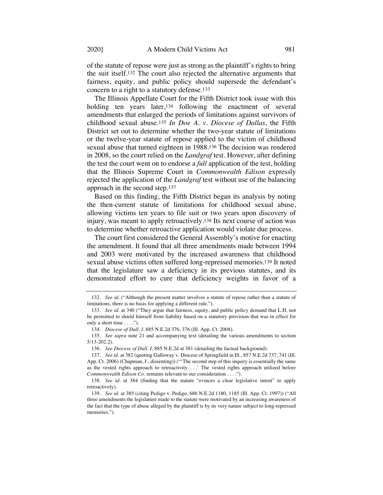of the statute of repose were just as strong as the plaintiff's rights to bring the suit itself.132 The court also rejected the alternative arguments that fairness, equity, and public policy should supersede the defendant's concern to a right to a statutory defense.133

The Illinois Appellate Court for the Fifth District took issue with this holding ten years later,<sup>134</sup> following the enactment of several amendments that enlarged the periods of limitations against survivors of childhood sexual abuse.135 *In Doe A. v. Diocese of Dallas*, the Fifth District set out to determine whether the two-year statute of limitations or the twelve-year statute of repose applied to the victim of childhood sexual abuse that turned eighteen in 1988.136 The decision was rendered in 2008, so the court relied on the *Landgraf* test. However, after defining the test the court went on to endorse a *full* application of the test, holding that the Illinois Supreme Court in *Commonwealth Edison* expressly rejected the application of the *Landgraf* test without use of the balancing approach in the second step.137

Based on this finding, the Fifth District began its analysis by noting the then-current statute of limitations for childhood sexual abuse, allowing victims ten years to file suit or two years upon discovery of injury, was meant to apply retroactively.138 Its next course of action was to determine whether retroactive application would violate due process.

The court first considered the General Assembly's motive for enacting the amendment. It found that all three amendments made between 1994 and 2003 were motivated by the increased awareness that childhood sexual abuse victims often suffered long-repressed memories.139 It noted that the legislature saw a deficiency in its previous statutes, and its demonstrated effort to cure that deficiency weights in favor of a

<sup>132.</sup> *See id.* ("Although the present matter involves a statute of repose rather than a statute of limitations, there is no basis for applying a different rule.").

<sup>133.</sup> *See id.* at 340 ("They argue that fairness, equity, and public policy demand that L.H. not be permitted to shield himself from liability based on a statutory provision that was in effect for only a short time . . . .").

<sup>134.</sup> *Diocese of Dall. I*, 885 N.E.2d 376, 376 (Ill. App. Ct. 2008).

<sup>135.</sup> *See supra* note 21 and accompanying text (detailing the various amendments to section 5/13-202.2).

<sup>136.</sup> *See Diocese of Dall. I*, 885 N.E.2d at 381 (detailing the factual background).

<sup>137.</sup> *See id.* at 382 (quoting Galloway v. Diocese of Springfield in Ill., 857 N.E.2d 737, 741 (Ill. App. Ct. 2006) (Chapman, J., dissenting)) ("'The second step of this inquiry is essentially the same as the vested rights approach to retroactivity....' The vested rights approach utilized before *Commonwealth Edison Co.* remains relevant to our consideration . . . .").

<sup>138.</sup> *See id.* at 384 (finding that the statute "evinces a clear legislative intent" to apply retroactively).

<sup>139.</sup> *See id.* at 385 (citing Pedigo v. Pedigo, 686 N.E.2d 1180, 1185 (Ill. App. Ct. 1997)) ("All three amendments the legislature made to the statute were motivated by an increasing awareness of the fact that the type of abuse alleged by the plaintiff is by its very nature subject to long-repressed memories.").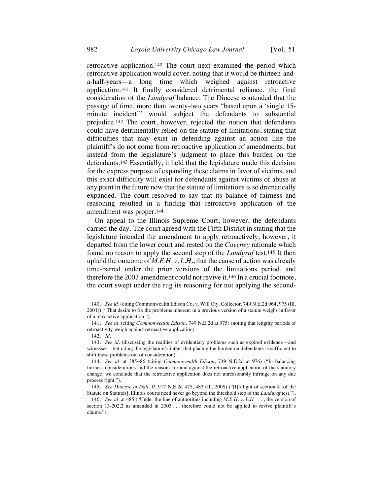retroactive application.140 The court next examined the period which retroactive application would cover, noting that it would be thirteen-anda-half-years—a long time which weighed against retroactive application.141 It finally considered detrimental reliance, the final consideration of the *Landgraf* balance. The Diocese contended that the passage of time, more than twenty-two years "based upon a 'single 15 minute incident'" would subject the defendants to substantial prejudice.142 The court, however, rejected the notion that defendants could have detrimentally relied on the statute of limitations, stating that difficulties that may exist in defending against an action like the plaintiff's do not come from retroactive application of amendments, but instead from the legislature's judgment to place this burden on the defendants.143 Essentially, it held that the legislature made this decision for the express purpose of expanding these claims in favor of victims, and this exact difficulty will exist for defendants against victims of abuse at any point in the future now that the statute of limitations is so dramatically expanded. The court resolved to say that its balance of fairness and reasoning resulted in a finding that retroactive application of the amendment was proper.144

On appeal to the Illinois Supreme Court, however, the defendants carried the day. The court agreed with the Fifth District in stating that the legislature intended the amendment to apply retroactively; however, it departed from the lower court and rested on the *Caveney* rationale which found no reason to apply the second step of the *Landgraf* test.145 It then upheld the outcome of *M.E.H. v. L.H.*, that the cause of action was already time-barred under the prior versions of the limitations period, and therefore the 2003 amendment could not revive it.146 In a crucial footnote, the court swept under the rug its reasoning for not applying the second-

<sup>140.</sup> *See id.* (citing Commonwealth Edison Co. v. Will Cty. Collector, 749 N.E.2d 964, 975 (Ill. 2001)) ("That desire to fix the problems inherent in a previous version of a statute weighs in favor of a retroactive application.").

<sup>141.</sup> *See id.* (citing *Commonwealth Edison*, 749 N.E.2d at 975) (noting that lengthy periods of retroactivity weigh against retroactive application).

<sup>142.</sup> *Id.*

<sup>143.</sup> *See id.* (discussing the realities of evidentiary problems such as expired evidence—and witnesses—but citing the legislature's intent that placing the burden on defendants is sufficient to shift these problems out of consideration).

<sup>144.</sup> *See id.* at 385−86 (citing *Commonwealth Edison*, 749 N.E.2d at 976) ("In balancing fairness considerations and the reasons for and against the retroactive application of the statutory change, we conclude that the retroactive application does not unreasonably infringe on any due process right.").

<sup>145.</sup> *See Diocese of Dall. II*, 917 N.E.2d 475, 483 (Ill. 2009) ("[I]n light of section 4 [of the Statute on Statutes], Illinois courts need never go beyond the threshold step of the *Landgraf* test.").

<sup>146.</sup> *See id.* at 485 ("Under the line of authorities including *M.E.H. v. L.H* . . . , the version of section 13-202.2 as amended in 2003 ... therefore could not be applied to revive plaintiff's claims.").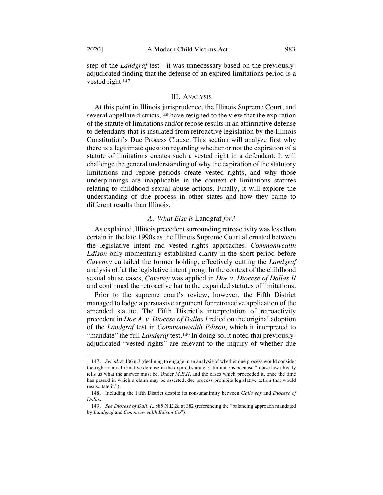step of the *Landgraf* test—it was unnecessary based on the previouslyadjudicated finding that the defense of an expired limitations period is a vested right.147

#### III. ANALYSIS

At this point in Illinois jurisprudence, the Illinois Supreme Court, and several appellate districts,148 have resigned to the view that the expiration of the statute of limitations and/or repose results in an affirmative defense to defendants that is insulated from retroactive legislation by the Illinois Constitution's Due Process Clause. This section will analyze first why there is a legitimate question regarding whether or not the expiration of a statute of limitations creates such a vested right in a defendant. It will challenge the general understanding of why the expiration of the statutory limitations and repose periods create vested rights, and why those underpinnings are inapplicable in the context of limitations statutes relating to childhood sexual abuse actions. Finally, it will explore the understanding of due process in other states and how they came to different results than Illinois.

#### *A. What Else is* Landgraf *for?*

As explained, Illinois precedent surrounding retroactivity was lessthan certain in the late 1990s as the Illinois Supreme Court alternated between the legislative intent and vested rights approaches. *Commonwealth Edison* only momentarily established clarity in the short period before *Caveney* curtailed the former holding, effectively cutting the *Landgraf* analysis off at the legislative intent prong. In the context of the childhood sexual abuse cases, *Caveney* was applied in *Doe v. Diocese of Dallas II* and confirmed the retroactive bar to the expanded statutes of limitations.

Prior to the supreme court's review, however, the Fifth District managed to lodge a persuasive argument for retroactive application of the amended statute. The Fifth District's interpretation of retroactivity precedent in *Doe A. v. Diocese of Dallas I* relied on the original adoption of the *Landgraf* test in *Commonwealth Edison*, which it interpreted to "mandate" the full *Landgraf* test.<sup>149</sup> In doing so, it noted that previouslyadjudicated "vested rights" are relevant to the inquiry of whether due

<sup>147</sup>*. See id.* at 486 n.3 (declining to engage in an analysis of whether due process would consider the right to an affirmative defense in the expired statute of limitations because "[c]ase law already tells us what the answer must be. Under *M.E.H.* and the cases which proceeded it, once the time has passed in which a claim may be asserted, due process prohibits legislative action that would resuscitate it.").

<sup>148.</sup> Including the Fifth District despite its non-unanimity between *Galloway* and *Diocese of Dallas*.

<sup>149.</sup> *See Diocese of Dall. I.*, 885 N.E.2d at 382 (referencing the "balancing approach mandated by *Landgraf* and *Commonwealth Edison Co*").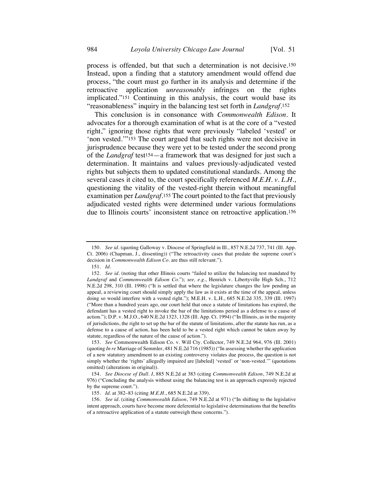process is offended, but that such a determination is not decisive.150 Instead, upon a finding that a statutory amendment would offend due process, "the court must go further in its analysis and determine if the retroactive application *unreasonably* infringes on the rights implicated."151 Continuing in this analysis, the court would base its "reasonableness" inquiry in the balancing test set forth in *Landgraf*.152

This conclusion is in consonance with *Commonwealth Edison*. It advocates for a thorough examination of what is at the core of a "vested right," ignoring those rights that were previously "labeled 'vested' or 'non vested.'"153 The court argued that such rights were not decisive in jurisprudence because they were yet to be tested under the second prong of the *Landgraf* test154—a framework that was designed for just such a determination. It maintains and values previously-adjudicated vested rights but subjects them to updated constitutional standards. Among the several cases it cited to, the court specifically referenced *M.E.H. v. L.H.*, questioning the vitality of the vested-right therein without meaningful examination per *Landgraf*.155 The court pointed to the fact that previously adjudicated vested rights were determined under various formulations due to Illinois courts' inconsistent stance on retroactive application.156

<sup>150.</sup> *See id.* (quoting Galloway v. Diocese of Springfield in Ill., 857 N.E.2d 737, 741 (Ill. App. Ct. 2006) (Chapman, J., dissenting)) ("The retroactivity cases that predate the supreme court's decision in *Commonwealth Edison Co.* are thus still relevant.").

<sup>151.</sup> *Id.*

<sup>152.</sup> *See id.* (noting that other Illinois courts "failed to utilize the balancing test mandated by *Landgraf* and *Commonwealth Edison Co.*"); *see, e.g.*, Henrich v. Libertyville High Sch., 712 N.E.2d 298, 310 (Ill. 1998) ("It is settled that where the legislature changes the law pending an appeal, a reviewing court should simply apply the law as it exists at the time of the appeal, unless doing so would interfere with a vested right."); M.E.H. v. L.H., 685 N.E.2d 335, 339 (Ill. 1997) ("More than a hundred years ago, our court held that once a statute of limitations has expired, the defendant has a vested right to invoke the bar of the limitations period as a defense to a cause of action."); D.P. v. M.J.O., 640 N.E.2d 1323, 1328 (Ill. App. Ct. 1994) ("In Illinois, as in the majority of jurisdictions, the right to set up the bar of the statute of limitations, after the statute has run, as a defense to a cause of action, has been held to be a vested right which cannot be taken away by statute, regardless of the nature of the cause of action.").

<sup>153.</sup> *See* Commonwealth Edison Co. v. Will Cty. Collector, 749 N.E.2d 964, 976 (Ill. 2001) (quoting *In re* Marriage of Semmler, 481 N.E.2d 716 (1985)) ("In assessing whether the application of a new statutory amendment to an existing controversy violates due process, the question is not simply whether the 'rights' allegedly impaired are [labeled] 'vested' or 'non-vested.'" (quotations omitted) (alterations in original)).

<sup>154.</sup> *See Diocese of Dall. I*, 885 N.E.2d at 383 (citing *Commonwealth Edison*, 749 N.E.2d at 976) ("Concluding the analysis without using the balancing test is an approach expressly rejected by the supreme court.").

<sup>155.</sup> *Id.* at 382–83 (citing *M.E.H.*, 685 N.E.2d at 339).

<sup>156.</sup> *See id.* (citing *Commonwealth Edison*, 749 N.E.2d at 971) ("In shifting to the legislative intent approach, courts have become more deferential to legislative determinations that the benefits of a retroactive application of a statute outweigh these concerns.").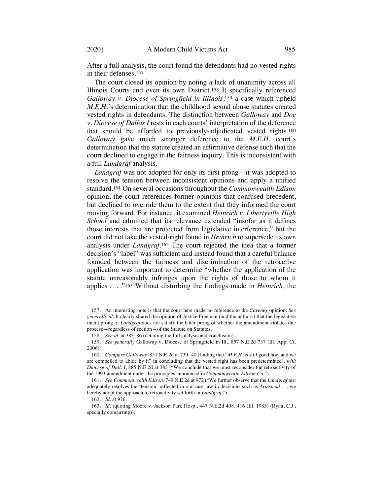After a full analysis, the court found the defendants had no vested rights in their defenses.157

The court closed its opinion by noting a lack of unanimity across all Illinois Courts and even its own District.158 It specifically referenced *Galloway v. Diocese of Springfield in Illinois*,159 a case which upheld *M.E.H.*'s determination that the childhood sexual abuse statutes created vested rights in defendants. The distinction between *Galloway* and *Doe v. Diocese of Dallas I* rests in each courts' interpretation of the deference that should be afforded to previously-adjudicated vested rights.160 *Galloway* gave much stronger deference to the *M.E.H.* court's determination that the statute created an affirmative defense such that the court declined to engage in the fairness inquiry. This is inconsistent with a full *Landgraf* analysis.

*Landgraf* was not adopted for only its first prong—it was adopted to resolve the tension between inconsistent opinions and apply a unified standard.161 On several occasions throughout the *Commonwealth Edison* opinion, the court references former opinions that confused precedent, but declined to overrule them to the extent that they informed the court moving forward. For instance, it examined *Heinrich v. Libertyville High School* and admitted that its relevance extended "insofar as it defines those interests that are protected from legislative interference," but the court did not take the vested-right found in *Heinrich* to supersede its own analysis under *Landgraf*.162 The court rejected the idea that a former decision's "label" was sufficient and instead found that a careful balance founded between the fairness and discrimination of the retroactive application was important to determine "whether the application of the statute unreasonably infringes upon the rights of those to whom it applies . . . ."163 Without disturbing the findings made in *Heinrich*, the

<sup>157.</sup> An interesting note is that the court here made no reference to the *Caveney* opinion. *See generally id.* It clearly shared the opinion of Justice Freeman (and the authors) that the legislative intent prong of *Landgraf* does not satisfy the latter prong of whether the amendment violates due process—regardless of section 4 of the Statute on Statutes.

<sup>158.</sup> *See id.* at 383–86 (detailing the full analysis and conclusion).

<sup>159.</sup> *See generally* Galloway v. Diocese of Springfield in Ill., 857 N.E.2d 737 (Ill. App. Ct. 2006).

<sup>160.</sup> *Compare Galloway*, 857 N.E.2d at 739−40 (finding that "*M.E.H.* is still good law, and we are compelled to abide by it" in concluding that the vested right has been predetermined), *with Diocese of Dall. I*, 885 N.E.2d at 383 ("We conclude that we must reconsider the retroactivity of the 1993 amendment under the principles announced in *Commonwealth Edison Co.*").

<sup>161.</sup> *See Commonwealth Edison*, 749 N.E.2d at 972 ("We further observe that the *Landgraf* test adequately resolves the 'tension' reflected in our case law in decisions such as *Armstead* . . . we hereby adopt the approach to retroactivity set forth in *Landgraf*.").

<sup>162</sup>*. Id.* at 976.

<sup>163.</sup> *Id.* (quoting Moore v. Jackson Park Hosp., 447 N.E.2d 408, 416 (Ill. 1983) (Ryan, C.J., specially concurring)).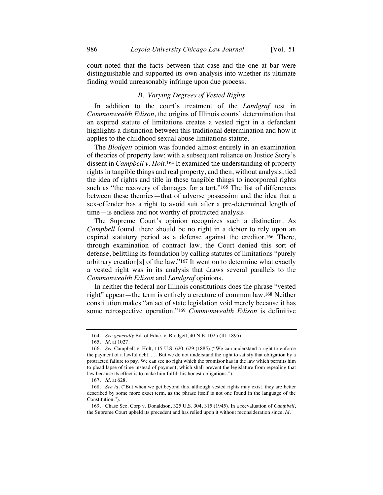court noted that the facts between that case and the one at bar were distinguishable and supported its own analysis into whether its ultimate finding would unreasonably infringe upon due process.

#### *B. Varying Degrees of Vested Rights*

In addition to the court's treatment of the *Landgraf* test in *Commonwealth Edison*, the origins of Illinois courts' determination that an expired statute of limitations creates a vested right in a defendant highlights a distinction between this traditional determination and how it applies to the childhood sexual abuse limitations statute.

The *Blodgett* opinion was founded almost entirely in an examination of theories of property law; with a subsequent reliance on Justice Story's dissent in *Campbell v. Holt*.164 It examined the understanding of property rights in tangible things and real property, and then, without analysis, tied the idea of rights and title in these tangible things to incorporeal rights such as "the recovery of damages for a tort."165 The list of differences between these theories—that of adverse possession and the idea that a sex-offender has a right to avoid suit after a pre-determined length of time—is endless and not worthy of protracted analysis.

The Supreme Court's opinion recognizes such a distinction. As *Campbell* found, there should be no right in a debtor to rely upon an expired statutory period as a defense against the creditor.166 There, through examination of contract law, the Court denied this sort of defense, belittling its foundation by calling statutes of limitations "purely arbitrary creation[s] of the law."167 It went on to determine what exactly a vested right was in its analysis that draws several parallels to the *Commonwealth Edison* and *Landgraf* opinions.

In neither the federal nor Illinois constitutions does the phrase "vested right" appear—the term is entirely a creature of common law.168 Neither constitution makes "an act of state legislation void merely because it has some retrospective operation."169 *Commonwealth Edison* is definitive

<sup>164.</sup> *See generally* Bd. of Educ. v. Blodgett, 40 N.E. 1025 (Ill. 1895).

<sup>165.</sup> *Id.* at 1027.

<sup>166.</sup> *See* Campbell v. Holt, 115 U.S. 620, 629 (1885) ("We can understand a right to enforce the payment of a lawful debt. . . . But we do not understand the right to satisfy that obligation by a protracted failure to pay. We can see no right which the promisor has in the law which permits him to plead lapse of time instead of payment, which shall prevent the legislature from repealing that law because its effect is to make him fulfill his honest obligations.").

<sup>167.</sup> *Id.* at 628.

<sup>168.</sup> *See id.* ("But when we get beyond this, although vested rights may exist, they are better described by some more exact term, as the phrase itself is not one found in the language of the Constitution.").

<sup>169.</sup> Chase Sec. Corp v. Donaldson, 325 U.S. 304, 315 (1945). In a reevaluation of *Campbell*, the Supreme Court upheld its precedent and has relied upon it without reconsideration since. *Id.*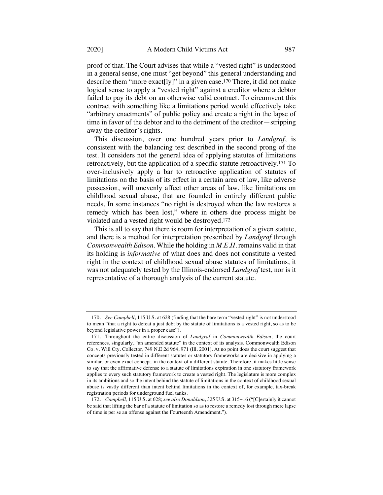proof of that. The Court advises that while a "vested right" is understood in a general sense, one must "get beyond" this general understanding and describe them "more exact[ly]" in a given case.170 There, it did not make logical sense to apply a "vested right" against a creditor where a debtor failed to pay its debt on an otherwise valid contract. To circumvent this contract with something like a limitations period would effectively take "arbitrary enactments" of public policy and create a right in the lapse of time in favor of the debtor and to the detriment of the creditor—stripping away the creditor's rights.

This discussion, over one hundred years prior to *Landgraf*, is consistent with the balancing test described in the second prong of the test. It considers not the general idea of applying statutes of limitations retroactively, but the application of a specific statute retroactively.171 To over-inclusively apply a bar to retroactive application of statutes of limitations on the basis of its effect in a certain area of law, like adverse possession, will unevenly affect other areas of law, like limitations on childhood sexual abuse, that are founded in entirely different public needs. In some instances "no right is destroyed when the law restores a remedy which has been lost," where in others due process might be violated and a vested right would be destroyed.172

This is all to say that there is room for interpretation of a given statute, and there is a method for interpretation prescribed by *Landgraf* through *Commonwealth Edison*. While the holding in *M.E.H.* remains valid in that its holding is *informative* of what does and does not constitute a vested right in the context of childhood sexual abuse statutes of limitations, it was not adequately tested by the Illinois-endorsed *Landgraf* test, nor is it representative of a thorough analysis of the current statute.

<sup>170.</sup> *See Campbell*, 115 U.S. at 628 (finding that the bare term "vested right" is not understood to mean "that a right to defeat a just debt by the statute of limitations is a vested right, so as to be beyond legislative power in a proper case").

<sup>171.</sup> Throughout the entire discussion of *Landgraf* in *Commonwealth Edison*, the court references, singularly, "an amended statute" in the context of its analysis. Commonwealth Edison Co. v. Will Cty. Collector, 749 N.E.2d 964, 971 (Ill. 2001). At no point does the court suggest that concepts previously tested in different statutes or statutory frameworks are decisive in applying a similar, or even exact concept, in the context of a different statute. Therefore, it makes little sense to say that the affirmative defense to a statute of limitations expiration in one statutory framework applies to every such statutory framework to create a vested right. The legislature is more complex in its ambitions and so the intent behind the statute of limitations in the context of childhood sexual abuse is vastly different than intent behind limitations in the context of, for example, tax-break registration periods for underground fuel tanks.

<sup>172.</sup> *Campbell*, 115 U.S. at 628; *see also Donaldson*, 325 U.S. at 315−16 ("[C]ertainly it cannot be said that lifting the bar of a statute of limitation so as to restore a remedy lost through mere lapse of time is per se an offense against the Fourteenth Amendment.").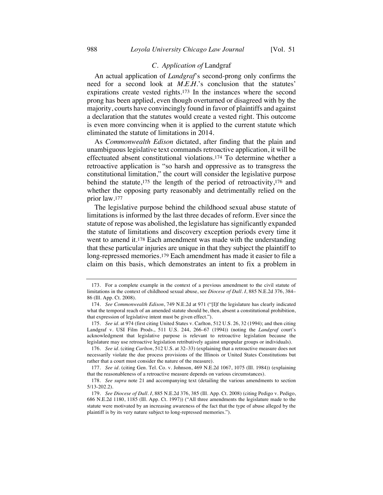# *C. Application of* Landgraf

An actual application of *Landgraf*'s second-prong only confirms the need for a second look at *M.E.H.*'s conclusion that the statutes' expirations create vested rights.173 In the instances where the second prong has been applied, even though overturned or disagreed with by the majority, courts have convincingly found in favor of plaintiffs and against a declaration that the statutes would create a vested right. This outcome is even more convincing when it is applied to the current statute which eliminated the statute of limitations in 2014.

As *Commonwealth Edison* dictated, after finding that the plain and unambiguous legislative text commands retroactive application, it will be effectuated absent constitutional violations.174 To determine whether a retroactive application is "so harsh and oppressive as to transgress the constitutional limitation," the court will consider the legislative purpose behind the statute,175 the length of the period of retroactivity,176 and whether the opposing party reasonably and detrimentally relied on the prior law.177

The legislative purpose behind the childhood sexual abuse statute of limitations is informed by the last three decades of reform. Ever since the statute of repose was abolished, the legislature has significantly expanded the statute of limitations and discovery exception periods every time it went to amend it.178 Each amendment was made with the understanding that these particular injuries are unique in that they subject the plaintiff to long-repressed memories.179 Each amendment has made it easier to file a claim on this basis, which demonstrates an intent to fix a problem in

<sup>173.</sup> For a complete example in the context of a previous amendment to the civil statute of limitations in the context of childhood sexual abuse, see *Diocese of Dall. I*, 885 N.E.2d 376, 384– 86 (Ill. App. Ct. 2008).

<sup>174.</sup> *See Commonwealth Edison*, 749 N.E.2d at 971 ("[I]f the legislature has clearly indicated what the temporal reach of an amended statute should be, then, absent a constitutional prohibition, that expression of legislative intent must be given effect.").

<sup>175.</sup> *See id.* at 974 (first citing United States v. Carlton, 512 U.S. 26, 32 (1994); and then citing Landgraf v. USI Film Prods., 511 U.S. 244, 266–67 (1994)) (noting the *Landgraf* court's acknowledgment that legislative purpose is relevant to retroactive legislation because the legislature may use retroactive legislation retributively against unpopular groups or individuals).

<sup>176.</sup> *See id.* (citing *Carlton*, 512 U.S. at 32–33) (explaining that a retroactive measure does not necessarily violate the due process provisions of the Illinois or United States Constitutions but rather that a court must consider the nature of the measure).

<sup>177.</sup> *See id.* (citing Gen. Tel. Co. v. Johnson, 469 N.E.2d 1067, 1075 (Ill. 1984)) (explaining that the reasonableness of a retroactive measure depends on various circumstances).

<sup>178.</sup> *See supra* note 21 and accompanying text (detailing the various amendments to section 5/13-202.2).

<sup>179.</sup> *See Diocese of Dall. I*, 885 N.E.2d 376, 385 (Ill. App. Ct. 2008) (citing Pedigo v. Pedigo, 686 N.E.2d 1180, 1185 (Ill. App. Ct. 1997)) ("All three amendments the legislature made to the statute were motivated by an increasing awareness of the fact that the type of abuse alleged by the plaintiff is by its very nature subject to long-repressed memories.").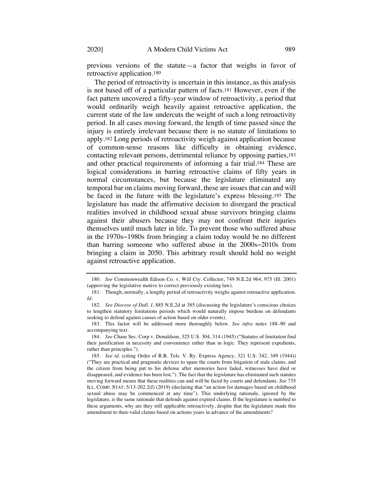previous versions of the statute—a factor that weighs in favor of retroactive application.180

The period of retroactivity is uncertain in this instance, as this analysis is not based off of a particular pattern of facts.181 However, even if the fact pattern uncovered a fifty-year window of retroactivity, a period that would ordinarily weigh heavily against retroactive application, the current state of the law undercuts the weight of such a long retroactivity period. In all cases moving forward, the length of time passed since the injury is entirely irrelevant because there is no statute of limitations to apply.182 Long periods of retroactivity weigh against application because of common-sense reasons like difficulty in obtaining evidence, contacting relevant persons, detrimental reliance by opposing parties,183 and other practical requirements of informing a fair trial.184 These are logical considerations in barring retroactive claims of fifty years in normal circumstances, but because the legislature eliminated any temporal bar on claims moving forward, these are issues that can and will be faced in the future with the legislature's express blessing.185 The legislature has made the affirmative decision to disregard the practical realities involved in childhood sexual abuse survivors bringing claims against their abusers because they may not confront their injuries themselves until much later in life. To prevent those who suffered abuse in the 1970s−1980s from bringing a claim today would be no different than barring someone who suffered abuse in the 2000s−2010s from bringing a claim in 2050. This arbitrary result should hold no weight against retroactive application.

<sup>180.</sup> *See* Commonwealth Edison Co. v. Will Cty. Collector, 749 N.E.2d 964, 975 (Ill. 2001) (approving the legislative motive to correct previously existing law).

<sup>181.</sup> Though, normally, a lengthy period of retroactivity weighs against retroactive application. *Id.*

<sup>182.</sup> *See Diocese of Dall. I*, 885 N.E.2d at 385 (discussing the legislature's conscious choices to lengthen statutory limitations periods which would naturally impose burdens on defendants seeking to defend against causes of action based on older events).

<sup>183.</sup> This factor will be addressed more thoroughly below. *See infra* notes 188–90 and accompanying text.

<sup>184.</sup> *See* Chase Sec. Corp v. Donaldson, 325 U.S. 304, 314 (1945) ("Statutes of limitation find their justification in necessity and convenience rather than in logic. They represent expedients, rather than principles.").

<sup>185.</sup> *See id.* (citing Order of R.R. Tels. V. Ry. Express Agency, 321 U.S. 342, 349 (1944)) ("They are practical and pragmatic devices to spare the courts from litigation of stale claims, and the citizen from being put to his defense after memories have faded, witnesses have died or disappeared, and evidence has been lost."). The fact that the legislature has eliminated such statutes moving forward means that these realities can and will be faced by courts and defendants. *See* 735 ILL. COMP. STAT. 5/13-202.2(f) (2019) (declaring that "an action for damages based on childhood sexual abuse may be commenced at any time"). This underlying rationale, ignored by the legislature, is the same rationale that defends against expired claims. If the legislature is numbed to these arguments, why are they still applicable retroactively, despite that the legislature made this amendment to then-valid claims based on actions years in advance of the amendments?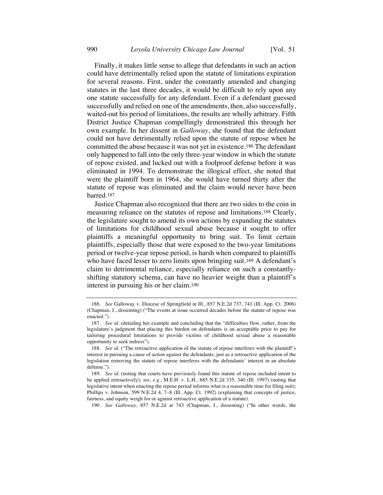Finally, it makes little sense to allege that defendants in such an action could have detrimentally relied upon the statute of limitations expiration for several reasons. First, under the constantly amended and changing statutes in the last three decades, it would be difficult to rely upon any one statute successfully for any defendant. Even if a defendant guessed successfully and relied on one of the amendments, then, also successfully, waited-out his period of limitations, the results are wholly arbitrary. Fifth District Justice Chapman compellingly demonstrated this through her own example. In her dissent in *Galloway*, she found that the defendant could not have detrimentally relied upon the statute of repose when he committed the abuse because it was not yet in existence.186 The defendant only happened to fall into the only three-year window in which the statute of repose existed, and lucked out with a foolproof defense before it was eliminated in 1994. To demonstrate the illogical effect, she noted that were the plaintiff born in 1964, she would have turned thirty after the statute of repose was eliminated and the claim would never have been barred.187

Justice Chapman also recognized that there are two sides to the coin in measuring reliance on the statutes of repose and limitations.188 Clearly, the legislature sought to amend its own actions by expanding the statutes of limitations for childhood sexual abuse because it sought to offer plaintiffs a meaningful opportunity to bring suit. To limit certain plaintiffs, especially those that were exposed to the two-year limitations period or twelve-year repose period, is harsh when compared to plaintiffs who have faced lesser to zero limits upon bringing suit.<sup>189</sup> A defendant's claim to detrimental reliance, especially reliance on such a constantlyshifting statutory schema, can have no heavier weight than a plaintiff's interest in pursuing his or her claim.190

190. *See Galloway*, 857 N.E.2d at 743 (Chapman, J., dissenting) ("In other words, the

<sup>186.</sup> *See* Galloway v. Diocese of Springfield in Ill., 857 N.E.2d 737, 743 (Ill. App. Ct. 2006) (Chapman, J., dissenting) ("The events at issue occurred decades before the statute of repose was enacted.").

<sup>187.</sup> *See id.* (detailing her example and concluding that the "difficulties flow, rather, from the legislature's judgment that placing this burden on defendants is an acceptable price to pay for tailoring procedural limitations to provide victims of childhood sexual abuse a reasonable opportunity to seek redress").

<sup>188.</sup> *See id.* ("The retroactive application of the statute of repose interferes with the plaintiff's interest in pursuing a cause of action against the defendants, just as a retroactive application of the legislation removing the statute of repose interferes with the defendants' interest in an absolute defense.").

<sup>189.</sup> *See id.* (noting that courts have previously found this statute of repose included intent to be applied retroactively); *see, e.g.*, M.E.H. v. L.H., 685 N.E.2d 335, 340 (Ill. 1997) (noting that legislative intent when enacting the repose period informs what is a reasonable time for filing suit); Phillips v. Johnson, 599 N.E.2d 4, 7–8 (Ill. App. Ct. 1992) (explaining that concepts of justice, fairness, and equity weigh for or against retroactive application of a statute).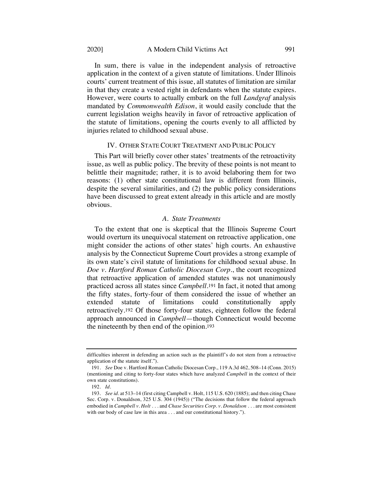In sum, there is value in the independent analysis of retroactive application in the context of a given statute of limitations. Under Illinois courts' current treatment of this issue, all statutes of limitation are similar in that they create a vested right in defendants when the statute expires. However, were courts to actually embark on the full *Landgraf* analysis mandated by *Commonwealth Edison*, it would easily conclude that the current legislation weighs heavily in favor of retroactive application of the statute of limitations, opening the courts evenly to all afflicted by injuries related to childhood sexual abuse.

#### IV. OTHER STATE COURT TREATMENT AND PUBLIC POLICY

This Part will briefly cover other states' treatments of the retroactivity issue, as well as public policy. The brevity of these points is not meant to belittle their magnitude; rather, it is to avoid belaboring them for two reasons: (1) other state constitutional law is different from Illinois, despite the several similarities, and (2) the public policy considerations have been discussed to great extent already in this article and are mostly obvious.

#### *A. State Treatments*

To the extent that one is skeptical that the Illinois Supreme Court would overturn its unequivocal statement on retroactive application, one might consider the actions of other states' high courts. An exhaustive analysis by the Connecticut Supreme Court provides a strong example of its own state's civil statute of limitations for childhood sexual abuse. In *Doe v. Hartford Roman Catholic Diocesan Corp.*, the court recognized that retroactive application of amended statutes was not unanimously practiced across all states since *Campbell*.191 In fact, it noted that among the fifty states, forty-four of them considered the issue of whether an extended statute of limitations could constitutionally apply retroactively.192 Of those forty-four states, eighteen follow the federal approach announced in *Campbell*—though Connecticut would become the nineteenth by then end of the opinion.193

difficulties inherent in defending an action such as the plaintiff's do not stem from a retroactive application of the statute itself.").

<sup>191.</sup> *See* Doe v. Hartford Roman Catholic Diocesan Corp., 119 A.3d 462, 508–14 (Conn. 2015) (mentioning and citing to forty-four states which have analyzed *Campbell* in the context of their own state constitutions).

<sup>192.</sup> *Id.*

<sup>193.</sup> *See id.* at 513–14 (first citing Campbell v. Holt, 115 U.S. 620 (1885); and then citing Chase Sec. Corp. v. Donaldson, 325 U.S. 304 (1945)) ("The decisions that follow the federal approach embodied in *Campbell v. Holt* . . . and *Chase Securities Corp. v. Donaldson* . . . are most consistent with our body of case law in this area . . . and our constitutional history.").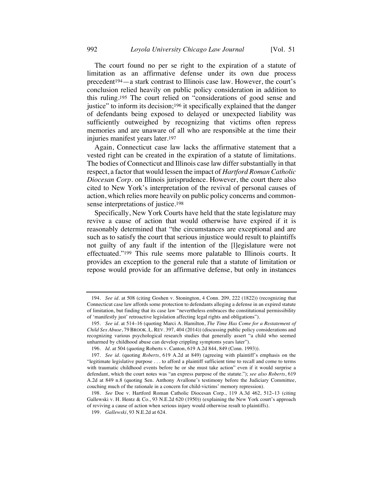The court found no per se right to the expiration of a statute of limitation as an affirmative defense under its own due process precedent194—a stark contrast to Illinois case law. However, the court's conclusion relied heavily on public policy consideration in addition to this ruling.195 The court relied on "considerations of good sense and justice" to inform its decision;<sup>196</sup> it specifically explained that the danger of defendants being exposed to delayed or unexpected liability was sufficiently outweighed by recognizing that victims often repress memories and are unaware of all who are responsible at the time their injuries manifest years later.197

Again, Connecticut case law lacks the affirmative statement that a vested right can be created in the expiration of a statute of limitations. The bodies of Connecticut and Illinois case law differ substantially in that respect, a factor that would lessen the impact of *Hartford Roman Catholic Diocesan Corp.* on Illinois jurisprudence. However, the court there also cited to New York's interpretation of the revival of personal causes of action, which relies more heavily on public policy concerns and commonsense interpretations of justice.198

Specifically, New York Courts have held that the state legislature may revive a cause of action that would otherwise have expired if it is reasonably determined that "the circumstances are exceptional and are such as to satisfy the court that serious injustice would result to plaintiffs not guilty of any fault if the intention of the [l]egislature were not effectuated."199 This rule seems more palatable to Illinois courts. It provides an exception to the general rule that a statute of limitation or repose would provide for an affirmative defense, but only in instances

<sup>194.</sup> *See id.* at 508 (citing Goshen v. Stonington, 4 Conn. 209, 222 (1822)) (recognizing that Connecticut case law affords some protection to defendants alleging a defense in an expired statute of limitation, but finding that its case law "nevertheless embraces the constitutional permissibility of 'manifestly just' retroactive legislation affecting legal rights and obligations").

<sup>195.</sup> *See id.* at 514–16 (quoting Marci A. Hamilton, *The Time Has Come for a Restatement of Child Sex Abuse*, 79 BROOK. L. REV. 397, 404 (2014)) (discussing public policy considerations and recognizing various psychological research studies that generally assert "a child who seemed unharmed by childhood abuse can develop crippling symptoms years later").

<sup>196.</sup> *Id.* at 504 (quoting Roberts v. Canton, 619 A.2d 844, 849 (Conn. 1993)).

<sup>197.</sup> *See id.* (quoting *Roberts*, 619 A.2d at 849) (agreeing with plaintiff's emphasis on the "legitimate legislative purpose . . . to afford a plaintiff sufficient time to recall and come to terms with traumatic childhood events before he or she must take action" even if it would surprise a defendant, which the court notes was "an express purpose of the statute."); *see also Roberts*, 619 A.2d at 849 n.8 (quoting Sen. Anthony Avallone's testimony before the Judiciary Committee, couching much of the rationale in a concern for child-victims' memory repression).

<sup>198.</sup> *See* Doe v. Hartford Roman Catholic Diocesan Corp., 119 A.3d 462, 512–13 (citing Gallewski v. H. Hentz & Co., 93 N.E.2d 620 (1950)) (explaining the New York court's approach of reviving a cause of action when serious injury would otherwise result to plaintiffs).

<sup>199.</sup> *Gallewski*, 93 N.E.2d at 624.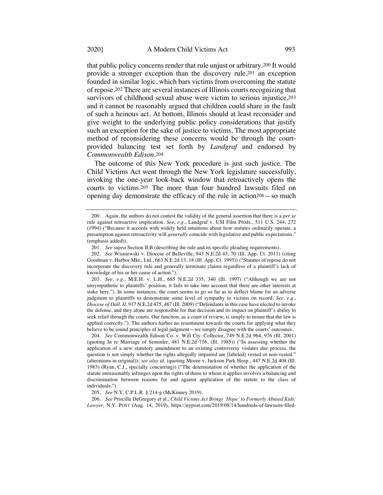that public policy concerns render that rule unjust or arbitrary.200 It would provide a stronger exception than the discovery rule,201 an exception founded in similar logic, which bars victims from overcoming the statute of repose.202 There are several instances of Illinois courts recognizing that survivors of childhood sexual abuse were victim to serious injustice, 203 and it cannot be reasonably argued that children could share in the fault of such a heinous act. At bottom, Illinois should at least reconsider and give weight to the underlying public policy considerations that justify such an exception for the sake of justice to victims. The most appropriate method of reconsidering these concerns would be through the courtprovided balancing test set forth by *Landgraf* and endorsed by *Commonwealth Edison*.204

The outcome of this New York procedure is just such justice. The Child Victims Act went through the New York legislature successfully, invoking the one-year look-back window that retroactively opens the courts to victims.205 The more than four hundred lawsuits filed on opening day demonstrate the efficacy of the rule in action206—so much

203. *See, e.g.*, M.E.H. v. L.H., 685 N.E.2d 335, 340 (Ill. 1997) ("Although we are not unsympathetic to plaintiffs' position, it fails to take into account that there are other interests at stake here."). In some instances, the court seems to go so far as to deflect blame for an adverse judgment to plaintiffs to demonstrate some level of sympathy to victims on record. *See, e.g.*, *Diocese of Dall. II*, 917 N.E.2d 475, 487 (Ill. 2009) ("Defendants in this case have elected to invoke the defense, and they alone are responsible for that decision and its impact on plaintiff's ability to seek relief through the courts. Our function, as a court of review, is simply to insure that the law is applied correctly."). The authors harbor no resentment towards the courts for applying what they believe to be sound principles of legal judgment—we simply disagree with the courts' outcomes.

204. *See* Commonwealth Edison Co. v. Will Cty. Collector, 749 N.E.2d 964, 976 (Ill. 2001) (quoting In re Marriage of Semmler, 481 N.E.2d 716, (Ill. 1985)) ("In assessing whether the application of a new statutory amendment to an existing controversy violates due process, the question is not simply whether the rights allegedly impaired are [labeled] vested or non-vested." (alterations in original)); *see also id.* (quoting Moore v. Jackson Park Hosp., 447 N.E.2d 408 (Ill. 1983) (Ryan, C.J., specially concurring)) ("The determination of whether the application of the statute unreasonably infringes upon the rights of those to whom it applies involves a balancing and discrimination between reasons for and against application of the statute to the class of individuals.").

205. *See* N.Y. C.P.L.R. § 214-g (McKinney 2019).

206. *See* Priscilla DeGregory et al., *Child Victims Act Brings 'Hope' to Formerly Abused Kids: Lawyer*, N.Y. POST (Aug. 14, 2019), https://nypost.com/2019/08/14/hundreds-of-lawsuits-filed-

<sup>200.</sup> Again, the authors do not contest the validity of the general assertion that there is a *per se* rule against retroactive implication. *See, e.g.*, Landgraf v. USI Film Prods., 511 U.S. 244, 272 (1994) ("Because it accords with widely held intuitions about how statutes ordinarily operate, a presumption against retroactivity will *generally* coincide with legislative and public expectations." (emphasis added)).

<sup>201.</sup> *See supra* Section II.B (describing the rule and its specific pleading requirements).

<sup>202.</sup> *See* Wisniewski v. Diocese of Belleville, 943 N.E.2d 43, 70 (Ill. App. Ct. 2011) (citing Goodman v. Harbor Mkt., Ltd., 663 N.E.2d 13, 18 (Ill. App. Ct. 1995)) ("Statutes of repose do not incorporate the discovery rule and generally terminate claims regardless of a plaintiff's lack of knowledge of his or her cause of action.").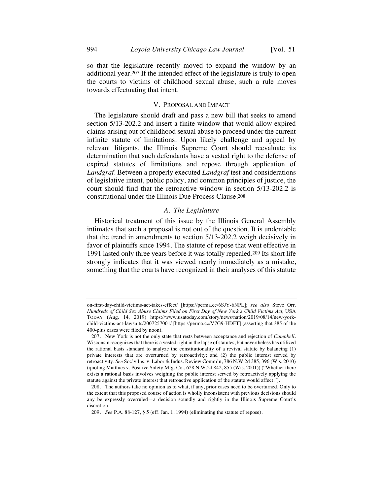#### V. PROPOSAL AND IMPACT

The legislature should draft and pass a new bill that seeks to amend section 5/13-202.2 and insert a finite window that would allow expired claims arising out of childhood sexual abuse to proceed under the current infinite statute of limitations. Upon likely challenge and appeal by relevant litigants, the Illinois Supreme Court should reevaluate its determination that such defendants have a vested right to the defense of expired statutes of limitations and repose through application of *Landgraf*. Between a properly executed *Landgraf* test and considerations of legislative intent, public policy, and common principles of justice, the court should find that the retroactive window in section 5/13-202.2 is constitutional under the Illinois Due Process Clause.208

# *A. The Legislature*

Historical treatment of this issue by the Illinois General Assembly intimates that such a proposal is not out of the question. It is undeniable that the trend in amendments to section 5/13-202.2 weigh decisively in favor of plaintiffs since 1994. The statute of repose that went effective in 1991 lasted only three years before it was totally repealed.209 Its short life strongly indicates that it was viewed nearly immediately as a mistake, something that the courts have recognized in their analyses of this statute

on-first-day-child-victims-act-takes-effect/ [https://perma.cc/6SJY-6NPL]; *see also* Steve Orr, *Hundreds of Child Sex Abuse Claims Filed on First Day of New York's Child Victims Act*, USA TODAY (Aug. 14, 2019) https://www.usatoday.com/story/news/nation/2019/08/14/new-yorkchild-victims-act-lawsuits/2007257001/ [https://perma.cc/V7G9-HDFT] (asserting that 385 of the 400-plus cases were filed by noon).

<sup>207.</sup> New York is not the only state that rests between acceptance and rejection of *Campbell*. Wisconsin recognizes that there is a vested right in the lapse of statutes, but nevertheless has utilized the rational basis standard to analyze the constitutionality of a revival statute by balancing (1) private interests that are overturned by retroactivity; and (2) the public interest served by retroactivity. *See* Soc'y Ins. v. Labor & Indus. Review Comm'n, 786 N.W.2d 385, 396 (Wis. 2010) (quoting Matthies v. Positive Safety Mfg. Co., 628 N.W.2d 842, 855 (Wis. 2001)) ("Whether there exists a rational basis involves weighing the public interest served by retroactively applying the statute against the private interest that retroactive application of the statute would affect.").

<sup>208.</sup> The authors take no opinion as to what, if any, prior cases need to be overturned. Only to the extent that this proposed course of action is wholly inconsistent with previous decisions should any be expressly overruled—a decision soundly and rightly in the Illinois Supreme Court's discretion.

<sup>209.</sup> *See* P.A. 88-127, § 5 (eff. Jan. 1, 1994) (eliminating the statute of repose).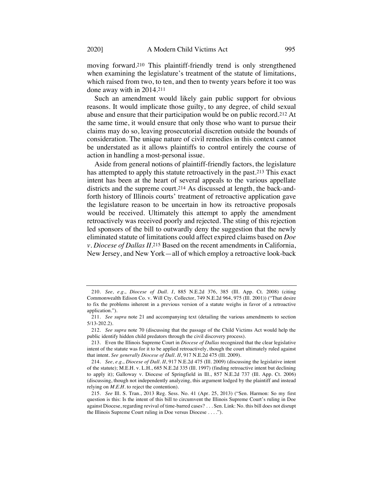moving forward.210 This plaintiff-friendly trend is only strengthened when examining the legislature's treatment of the statute of limitations, which raised from two, to ten, and then to twenty years before it too was done away with in 2014.211

Such an amendment would likely gain public support for obvious reasons. It would implicate those guilty, to any degree, of child sexual abuse and ensure that their participation would be on public record.212 At the same time, it would ensure that only those who want to pursue their claims may do so, leaving prosecutorial discretion outside the bounds of consideration. The unique nature of civil remedies in this context cannot be understated as it allows plaintiffs to control entirely the course of action in handling a most-personal issue.

Aside from general notions of plaintiff-friendly factors, the legislature has attempted to apply this statute retroactively in the past.213 This exact intent has been at the heart of several appeals to the various appellate districts and the supreme court.214 As discussed at length, the back-andforth history of Illinois courts' treatment of retroactive application gave the legislature reason to be uncertain in how its retroactive proposals would be received. Ultimately this attempt to apply the amendment retroactively was received poorly and rejected. The sting of this rejection led sponsors of the bill to outwardly deny the suggestion that the newly eliminated statute of limitations could affect expired claims based on *Doe v. Diocese of Dallas II*.215 Based on the recent amendments in California, New Jersey, and New York—all of which employ a retroactive look-back

<sup>210.</sup> *See, e.g.*, *Diocese of Dall. I*, 885 N.E.2d 376, 385 (Ill. App. Ct. 2008) (citing Commonwealth Edison Co. v. Will Cty. Collector, 749 N.E.2d 964, 975 (Ill. 2001)) ("That desire to fix the problems inherent in a previous version of a statute weighs in favor of a retroactive application.").

<sup>211.</sup> *See supra* note 21 and accompanying text (detailing the various amendments to section 5/13-202.2).

<sup>212.</sup> *See supra* note 70 (discussing that the passage of the Child Victims Act would help the public identify hidden child predators through the civil discovery process).

<sup>213.</sup> Even the Illinois Supreme Court in *Diocese of Dallas* recognized that the clear legislative intent of the statute was for it to be applied retroactively, though the court ultimately ruled against that intent. *See generally Diocese of Dall. II*, 917 N.E.2d 475 (Ill. 2009).

<sup>214.</sup> *See, e.g.*, *Diocese of Dall. II*, 917 N.E.2d 475 (Ill. 2009) (discussing the legislative intent of the statute); M.E.H. v. L.H., 685 N.E.2d 335 (Ill. 1997) (finding retroactive intent but declining to apply it); Galloway v. Diocese of Springfield in Ill., 857 N.E.2d 737 (Ill. App. Ct. 2006) (discussing, though not independently analyzing, this argument lodged by the plaintiff and instead relying on *M.E.H.* to reject the contention).

<sup>215.</sup> *See* Ill. S. Tran., 2013 Reg. Sess. No. 41 (Apr. 25, 2013) ("Sen. Harmon: So my first question is this: Is the intent of this bill to circumvent the Illinois Supreme Court's ruling in Doe against Diocese, regarding revival of time-barred cases? . . . Sen. Link: No. this bill does not disrupt the Illinois Supreme Court ruling in Doe versus Diocese . . . .").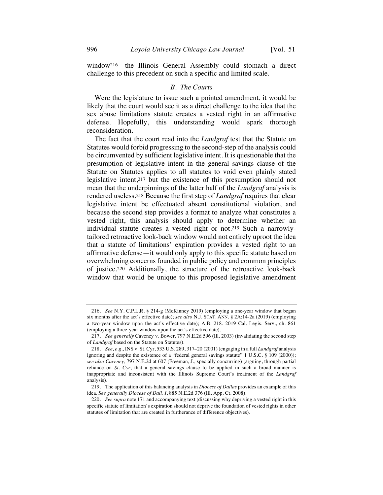window216—the Illinois General Assembly could stomach a direct challenge to this precedent on such a specific and limited scale.

#### *B. The Courts*

Were the legislature to issue such a pointed amendment, it would be likely that the court would see it as a direct challenge to the idea that the sex abuse limitations statute creates a vested right in an affirmative defense. Hopefully, this understanding would spark thorough reconsideration.

The fact that the court read into the *Landgraf* test that the Statute on Statutes would forbid progressing to the second-step of the analysis could be circumvented by sufficient legislative intent. It is questionable that the presumption of legislative intent in the general savings clause of the Statute on Statutes applies to all statutes to void even plainly stated legislative intent,217 but the existence of this presumption should not mean that the underpinnings of the latter half of the *Landgraf* analysis is rendered useless.218 Because the first step of *Landgraf* requires that clear legislative intent be effectuated absent constitutional violation, and because the second step provides a format to analyze what constitutes a vested right, this analysis should apply to determine whether an individual statute creates a vested right or not.219 Such a narrowlytailored retroactive look-back window would not entirely uproot the idea that a statute of limitations' expiration provides a vested right to an affirmative defense—it would only apply to this specific statute based on overwhelming concerns founded in public policy and common principles of justice.220 Additionally, the structure of the retroactive look-back window that would be unique to this proposed legislative amendment

<sup>216.</sup> *See* N.Y. C.P.L.R. § 214-g (McKinney 2019) (employing a one-year window that began six months after the act's effective date); *see also* N.J. STAT. ANN. § 2A:14-2a (2019) (employing a two-year window upon the act's effective date); A.B. 218. 2019 Cal. Legis. Serv., ch. 861 (employing a three-year window upon the act's effective date).

<sup>217.</sup> *See generally* Caveney v. Bower, 797 N.E.2d 596 (Ill. 2003) (invalidating the second step of *Landgraf* based on the Statute on Statutes).

<sup>218.</sup> *See, e.g.*, INS v. St. Cyr, 533 U.S. 289, 317–20 (2001) (engaging in a full *Landgraf* analysis ignoring and despite the existence of a "federal general savings statute" 1 U.S.C. § 109 (2000)); *see also Caveney*, 797 N.E.2d at 607 (Freeman, J., specially concurring) (arguing, through partial reliance on *St. Cyr*, that a general savings clause to be applied in such a broad manner is inappropriate and inconsistent with the Illinois Supreme Court's treatment of the *Landgraf*  analysis).

<sup>219.</sup> The application of this balancing analysis in *Diocese of Dallas* provides an example of this idea. *See generally Diocese of Dall. I*, 885 N.E.2d 376 (Ill. App. Ct. 2008).

<sup>220.</sup> *See supra* note 171 and accompanying text (discussing why depriving a vested right in this specific statute of limitation's expiration should not deprive the foundation of vested rights in other statutes of limitation that are created in furtherance of difference objectives).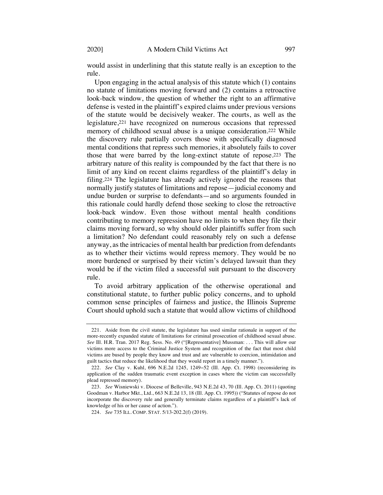would assist in underlining that this statute really is an exception to the rule.

Upon engaging in the actual analysis of this statute which (1) contains no statute of limitations moving forward and (2) contains a retroactive look-back window, the question of whether the right to an affirmative defense is vested in the plaintiff's expired claims under previous versions of the statute would be decisively weaker. The courts, as well as the legislature,221 have recognized on numerous occasions that repressed memory of childhood sexual abuse is a unique consideration.222 While the discovery rule partially covers those with specifically diagnosed mental conditions that repress such memories, it absolutely fails to cover those that were barred by the long-extinct statute of repose.223 The arbitrary nature of this reality is compounded by the fact that there is no limit of any kind on recent claims regardless of the plaintiff's delay in filing.224 The legislature has already actively ignored the reasons that normally justify statutes of limitations and repose—judicial economy and undue burden or surprise to defendants—and so arguments founded in this rationale could hardly defend those seeking to close the retroactive look-back window. Even those without mental health conditions contributing to memory repression have no limits to when they file their claims moving forward, so why should older plaintiffs suffer from such a limitation? No defendant could reasonably rely on such a defense anyway, as the intricacies of mental health bar prediction from defendants as to whether their victims would repress memory. They would be no more burdened or surprised by their victim's delayed lawsuit than they would be if the victim filed a successful suit pursuant to the discovery rule.

To avoid arbitrary application of the otherwise operational and constitutional statute, to further public policy concerns, and to uphold common sense principles of fairness and justice, the Illinois Supreme Court should uphold such a statute that would allow victims of childhood

<sup>221.</sup> Aside from the civil statute, the legislature has used similar rationale in support of the more-recently expanded statute of limitations for criminal prosecution of childhood sexual abuse. *See* Ill. H.R. Tran. 2017 Reg. Sess. No. 49 ("[Representative] Mussman: . . . This will allow our victims more access to the Criminal Justice System and recognition of the fact that most child victims are bused by people they know and trust and are vulnerable to coercion, intimidation and guilt tactics that reduce the likelihood that they would report in a timely manner.").

<sup>222.</sup> *See* Clay v. Kuhl, 696 N.E.2d 1245, 1249−52 (Ill. App. Ct. 1998) (reconsidering its application of the sudden traumatic event exception in cases where the victim can successfully plead repressed memory).

<sup>223.</sup> *See* Wisniewski v. Diocese of Belleville, 943 N.E.2d 43, 70 (Ill. App. Ct. 2011) (quoting Goodman v. Harbor Mkt., Ltd., 663 N.E.2d 13, 18 (Ill. App. Ct. 1995)) ("Statutes of repose do not incorporate the discovery rule and generally terminate claims regardless of a plaintiff's lack of knowledge of his or her cause of action.").

<sup>224.</sup> *See* 735 ILL. COMP. STAT. 5/13-202.2(f) (2019).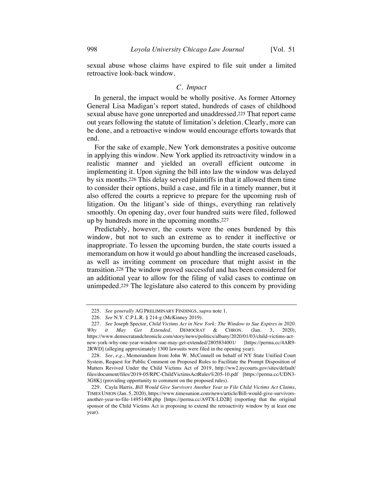sexual abuse whose claims have expired to file suit under a limited retroactive look-back window.

## *C. Impact*

In general, the impact would be wholly positive. As former Attorney General Lisa Madigan's report stated, hundreds of cases of childhood sexual abuse have gone unreported and unaddressed.225 That report came out years following the statute of limitation's deletion. Clearly, more can be done, and a retroactive window would encourage efforts towards that end.

For the sake of example, New York demonstrates a positive outcome in applying this window. New York applied its retroactivity window in a realistic manner and yielded an overall efficient outcome in implementing it. Upon signing the bill into law the window was delayed by six months.226 This delay served plaintiffs in that it allowed them time to consider their options, build a case, and file in a timely manner, but it also offered the courts a reprieve to prepare for the upcoming rush of litigation. On the litigant's side of things, everything ran relatively smoothly. On opening day, over four hundred suits were filed, followed up by hundreds more in the upcoming months.227

Predictably, however, the courts were the ones burdened by this window, but not to such an extreme as to render it ineffective or inappropriate. To lessen the upcoming burden, the state courts issued a memorandum on how it would go about handling the increased caseloads, as well as inviting comment on procedure that might assist in the transition.228 The window proved successful and has been considered for an additional year to allow for the filing of valid cases to continue on unimpeded.229 The legislature also catered to this concern by providing

<sup>225.</sup> *See generally* AG PRELIMINARY FINDINGS, *supra* note 1.

<sup>226.</sup> *See* N.Y. C.P.L.R. § 214-g (McKinney 2019).

<sup>227.</sup> *See* Joseph Spector, *Child Victims Act in New York: The Window to Sue Expires in 2020. Why it May Get Extended*, DEMOCRAT & CHRON. (Jan. 3, 2020), https://www.democratandchronicle.com/story/news/politics/albany/2020/01/03/child-victims-actnew-york-why-one-year-window-sue-may-get-extended/2805834001/ [https://perma.cc/4AR9- 2RWD] (alleging approximately 1300 lawsuits were filed in the opening year).

<sup>228.</sup> *See*, *e.g.*, Memorandum from John W. McConnell on behalf of NY State Unified Court System, Request for Public Comment on Proposed Rules to Facilitate the Prompt Disposition of Matters Revived Under the Child Victims Act of 2019, http://ww2.nycourts.gov/sites/default/ files/document/files/2019-05/RPC-ChildVictimsActRules%205-10.pdf [https://perma.cc/UDN3- 3G8K] (providing opportunity to comment on the proposed rules).

<sup>229.</sup> Cayla Harris, *Bill Would Give Survivors Another Year to File Child Victims Act Claims*, TIMES UNION (Jan. 5, 2020), https://www.timesunion.com/news/article/Bill-would-give-survivorsanother-year-to-file-14951408.php [https://perma.cc/A9TX-LD2B] (reporting that the original sponsor of the Child Victims Act is proposing to extend the retroactivity window by at least one year).